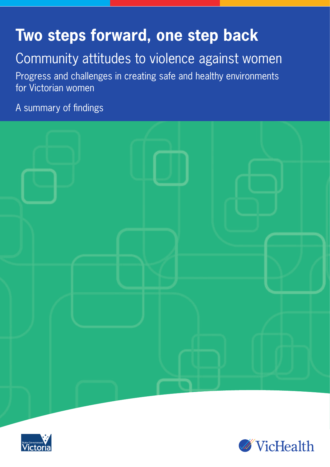# **Two steps forward, one step back**

# Community attitudes to violence against women

Progress and challenges in creating safe and healthy environments for Victorian women

A summary of findings





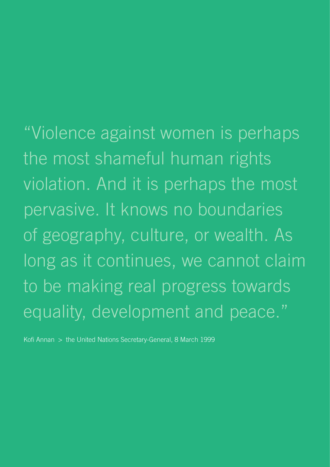"Violence against women is perhaps the most shameful human rights violation. And it is perhaps the most pervasive. It knows no boundaries of geography, culture, or wealth. As long as it continues, we cannot claim to be making real progress towards equality, development and peace."

Kofi Annan > the United Nations Secretary-General, 8 March 1999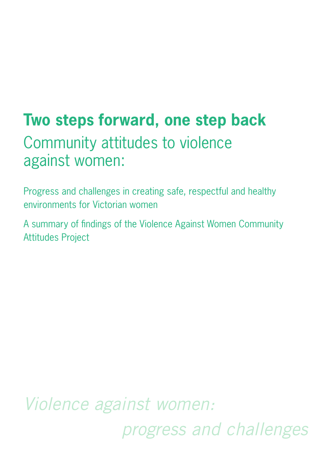# **Two steps forward, one step back**  Community attitudes to violence against women:

Progress and challenges in creating safe, respectful and healthy environments for Victorian women

A summary of findings of the Violence Against Women Community Attitudes Project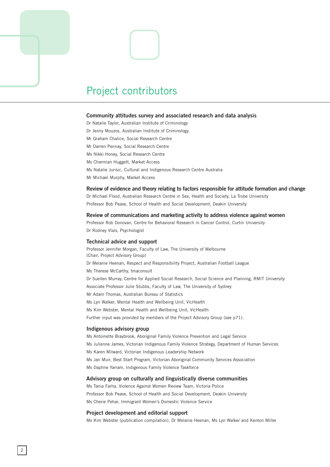

#### **Community attitudes survey and associated research and data analysis**

Dr Natalie Taylor, Australian Institute of Criminology Dr Jenny Mouzos, Australian Institute of Criminology Mr Graham Chalice, Social Research Centre Mr Darren Pennay, Social Research Centre Ms Nikki Honey, Social Research Centre Ms Charmian Huggett, Market Access Ms Natalie Jurisic, Cultural and Indigenous Research Centre Australia Mr Michael Murphy, Market Access

#### **Review of evidence and theory relating to factors responsible for attitude formation and change**

Dr Michael Flood, Australian Research Centre in Sex, Health and Society, La Trobe University Professor Bob Pease, School of Health and Social Development, Deakin University

**Review of communications and marketing activity to address violence against women** 

Professor Rob Donovan, Centre for Behavioral Research in Cancer Control, Curtin University Dr Rodney Vlais, Psychologist

#### **Technical advice and support**

Professor Jennifer Morgan, Faculty of Law, The University of Melbourne (Chair, Project Advisory Group) Dr Melanie Heenan, Respect and Responsibility Project, Australian Football League Ms Therese McCarthy, tmaconsult Dr Suellen Murray, Centre for Applied Social Research, Social Science and Planning, RMIT University Associate Professor Julie Stubbs, Faculty of Law, The University of Sydney Mr Adam Thomas, Australian Bureau of Statistics Ms Lyn Walker, Mental Health and Wellbeing Unit, VicHealth Ms Kim Webster, Mental Health and Wellbeing Unit, VicHealth Further input was provided by members of the Project Advisory Group (see p71).

#### **Indigenous advisory group**

Ms Antoinette Braybrook, Aboriginal Family Violence Prevention and Legal Service Ms Julienne James, Victorian Indigenous Family Violence Strategy, Department of Human Services Ms Karen Milward, Victorian Indigenous Leadership Network Ms Jan Muir, Best Start Program, Victorian Aboriginal Community Services Association Ms Daphne Yarram, Indigenous Family Violence Taskforce

#### **Advisory group on culturally and linguistically diverse communities**

Ms Tania Farha, Violence Against Women Review Team, Victoria Police Professor Bob Pease, School of Health and Social Development, Deakin University Ms Cherie Pehar, Immigrant Women's Domestic Violence Service

#### **Project development and editorial support**

Ms Kim Webster (publication compilation), Dr Melanie Heenan, Ms Lyn Walker and Kenton Miller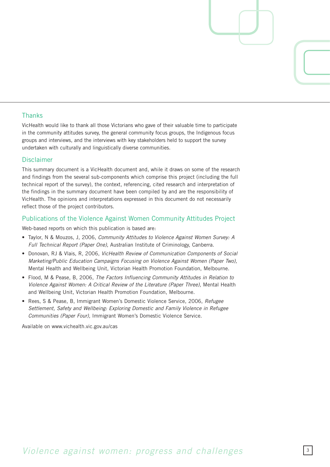## **Thanks**

VicHealth would like to thank all those Victorians who gave of their valuable time to participate in the community attitudes survey, the general community focus groups, the Indigenous focus groups and interviews, and the interviews with key stakeholders held to support the survey undertaken with culturally and linguistically diverse communities.

## **Disclaimer**

This summary document is a VicHealth document and, while it draws on some of the research and findings from the several sub-components which comprise this project (including the full technical report of the survey), the context, referencing, cited research and interpretation of the findings in the summary document have been compiled by and are the responsibility of VicHealth. The opinions and interpretations expressed in this document do not necessarily reflect those of the project contributors.

## Publications of the Violence Against Women Community Attitudes Project

Web-based reports on which this publication is based are:

- Taylor, N & Mouzos, J, 006, *Community Attitudes to Violence Against Women Survey: A Full Technical Report (Paper One),* Australian Institute of Criminology, Canberra.
- Donovan, RJ & Vlais, R, 006, *VicHealth Review of Communication Components of Social Marketing/Public Education Campaigns Focusing on Violence Against Women (Paper Two),* Mental Health and Wellbeing Unit, Victorian Health Promotion Foundation, Melbourne.
- Flood, M & Pease, B, 006, *The Factors Influencing Community Attitudes in Relation to Violence Against Women: A Critical Review of the Literature (Paper Three),* Mental Health and Wellbeing Unit, Victorian Health Promotion Foundation, Melbourne.
- Rees, S & Pease, B, Immigrant Women's Domestic Violence Service, 2006, Refugee *Settlement, Safety and Wellbeing: Exploring Domestic and Family Violence in Refugee Communities (Paper Four),* Immigrant Women's Domestic Violence Service.

Available on www.vichealth.vic.gov.au/cas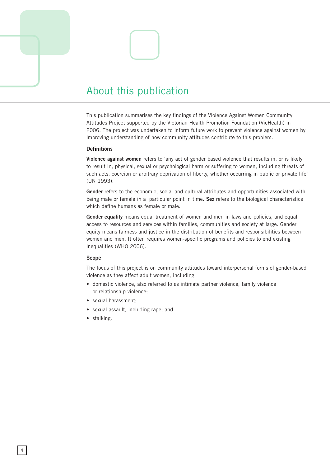## About this publication

This publication summarises the key findings of the Violence Against Women Community Attitudes Project supported by the Victorian Health Promotion Foundation (VicHealth) in 2006. The project was undertaken to inform future work to prevent violence against women by improving understanding of how community attitudes contribute to this problem.

### **Definitions**

**Violence against women** refers to 'any act of gender based violence that results in, or is likely to result in, physical, sexual or psychological harm or suffering to women, including threats of such acts, coercion or arbitrary deprivation of liberty, whether occurring in public or private life' (UN 1993).

**Gender** refers to the economic, social and cultural attributes and opportunities associated with being male or female in a particular point in time. **Sex** refers to the biological characteristics which define humans as female or male.

**Gender equality** means equal treatment of women and men in laws and policies, and equal access to resources and services within families, communities and society at large. Gender equity means fairness and justice in the distribution of benefits and responsibilities between women and men. It often requires women-specific programs and policies to end existing inequalities (WHO 2006).

#### **Scope**

The focus of this project is on community attitudes toward interpersonal forms of gender-based violence as they affect adult women, including:

- domestic violence, also referred to as intimate partner violence, family violence or relationship violence;
- sexual harassment;
- sexual assault, including rape; and
- stalking.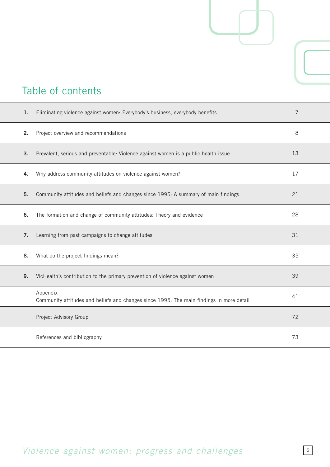## Table of contents

| 1. | Eliminating violence against women: Everybody's business, everybody benefits                         | 7  |  |
|----|------------------------------------------------------------------------------------------------------|----|--|
| 2. | Project overview and recommendations                                                                 | 8  |  |
| 3. | Prevalent, serious and preventable: Violence against women is a public health issue                  | 13 |  |
| 4. | Why address community attitudes on violence against women?                                           | 17 |  |
| 5. | Community attitudes and beliefs and changes since 1995: A summary of main findings                   | 21 |  |
| 6. | The formation and change of community attitudes: Theory and evidence                                 | 28 |  |
| 7. | Learning from past campaigns to change attitudes                                                     | 31 |  |
| 8. | What do the project findings mean?                                                                   | 35 |  |
| 9. | VicHealth's contribution to the primary prevention of violence against women                         | 39 |  |
|    | Appendix<br>Community attitudes and beliefs and changes since 1995: The main findings in more detail | 41 |  |
|    | Project Advisory Group                                                                               | 72 |  |
|    | References and bibliography                                                                          | 73 |  |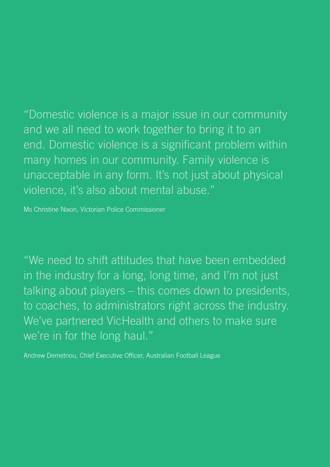"Domestic violence is a major issue in our community and we all need to work together to bring it to an end. Domestic violence is a significant problem within many homes in our community. Family violence is unacceptable in any form. It's not just about physical violence, it's also about mental abuse."

Ms Christine Nixon, Victorian Police Commissioner

"We need to shift attitudes that have been embedded in the industry for a long, long time, and I'm not just talking about players – this comes down to presidents, to coaches, to administrators right across the industry. We've partnered VicHealth and others to make sure we're in for the long haul."

Andrew Demetriou, Chief Executive Officer, Australian Football League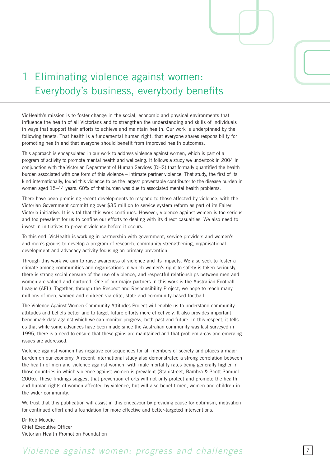## 1 Eliminating violence against women: Everybody's business, everybody benefits

VicHealth's mission is to foster change in the social, economic and physical environments that influence the health of all Victorians and to strengthen the understanding and skills of individuals in ways that support their efforts to achieve and maintain health. Our work is underpinned by the following tenets: That health is a fundamental human right, that everyone shares responsibility for promoting health and that everyone should benefit from improved health outcomes.

This approach is encapsulated in our work to address violence against women, which is part of a program of activity to promote mental health and wellbeing. It follows a study we undertook in 2004 in conjunction with the Victorian Department of Human Services (DHS) that formally quantified the health burden associated with one form of this violence – intimate partner violence. That study, the first of its kind internationally, found this violence to be the largest preventable contributor to the disease burden in women aged 15–44 years. 60% of that burden was due to associated mental health problems.

There have been promising recent developments to respond to those affected by violence, with the Victorian Government committing over \$35 million to service system reform as part of its Fairer Victoria initiative. It is vital that this work continues. However, violence against women is too serious and too prevalent for us to confine our efforts to dealing with its direct casualties. We also need to invest in initiatives to prevent violence before it occurs.

To this end, VicHealth is working in partnership with government, service providers and women's and men's groups to develop a program of research, community strengthening, organisational development and advocacy activity focusing on primary prevention.

Through this work we aim to raise awareness of violence and its impacts. We also seek to foster a climate among communities and organisations in which women's right to safety is taken seriously, there is strong social censure of the use of violence, and respectful relationships between men and women are valued and nurtured. One of our major partners in this work is the Australian Football League (AFL). Together, through the Respect and Responsibility Project, we hope to reach many millions of men, women and children via elite, state and community-based football.

The Violence Against Women Community Attitudes Project will enable us to understand community attitudes and beliefs better and to target future efforts more effectively. It also provides important benchmark data against which we can monitor progress, both past and future. In this respect, it tells us that while some advances have been made since the Australian community was last surveyed in 1995, there is a need to ensure that these gains are maintained and that problem areas and emerging issues are addressed.

Violence against women has negative consequences for all members of society and places a major burden on our economy. A recent international study also demonstrated a strong correlation between the health of men and violence against women, with male mortality rates being generally higher in those countries in which violence against women is prevalent (Stanistreet, Bambra & Scott-Samuel 2005). These findings suggest that prevention efforts will not only protect and promote the health and human rights of women affected by violence, but will also benefit men, women and children in the wider community.

We trust that this publication will assist in this endeavour by providing cause for optimism, motivation for continued effort and a foundation for more effective and better-targeted interventions.

Dr Rob Moodie Chief Executive Officer Victorian Health Promotion Foundation

## *Violence against women: progress and challenges*  $\frac{7}{7}$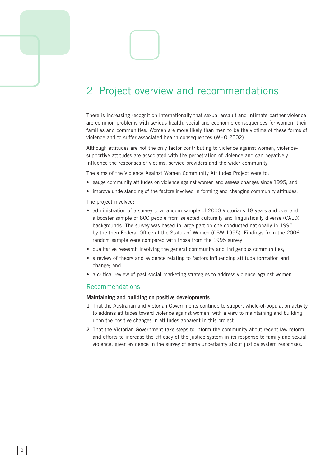## 2 Project overview and recommendations

There is increasing recognition internationally that sexual assault and intimate partner violence are common problems with serious health, social and economic consequences for women, their families and communities. Women are more likely than men to be the victims of these forms of violence and to suffer associated health consequences (WHO 2002).

Although attitudes are not the only factor contributing to violence against women, violencesupportive attitudes are associated with the perpetration of violence and can negatively influence the responses of victims, service providers and the wider community.

The aims of the Violence Against Women Community Attitudes Project were to:

- gauge community attitudes on violence against women and assess changes since 1995; and
- improve understanding of the factors involved in forming and changing community attitudes.

The project involved:

- administration of a survey to a random sample of 2000 Victorians 18 years and over and a booster sample of 800 people from selected culturally and linguistically diverse (CALD) backgrounds. The survey was based in large part on one conducted nationally in 1995 by the then Federal Office of the Status of Women (OSW 1995). Findings from the 2006 random sample were compared with those from the 1995 survey;
- qualitative research involving the general community and Indigenous communities;
- a review of theory and evidence relating to factors influencing attitude formation and change; and
- a critical review of past social marketing strategies to address violence against women.

### Recommendations

### **Maintaining and building on positive developments**

- **1** That the Australian and Victorian Governments continue to support whole-of-population activity to address attitudes toward violence against women, with a view to maintaining and building upon the positive changes in attitudes apparent in this project.
- **2** That the Victorian Government take steps to inform the community about recent law reform and efforts to increase the efficacy of the justice system in its response to family and sexual violence, given evidence in the survey of some uncertainty about justice system responses.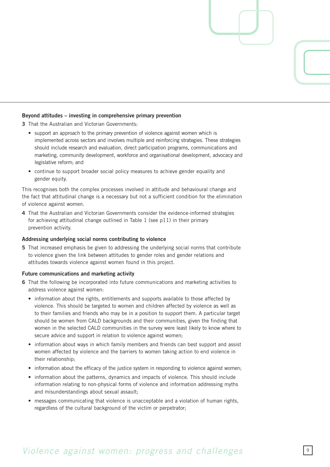### **Beyond attitudes – investing in comprehensive primary prevention**

**3** That the Australian and Victorian Governments:

- support an approach to the primary prevention of violence against women which is implemented across sectors and involves multiple and reinforcing strategies. These strategies should include research and evaluation, direct participation programs, communications and marketing, community development, workforce and organisational development, advocacy and legislative reform; and
- continue to support broader social policy measures to achieve gender equality and gender equity.

This recognises both the complex processes involved in attitude and behavioural change and the fact that attitudinal change is a necessary but not a sufficient condition for the elimination of violence against women.

**4** That the Australian and Victorian Governments consider the evidence-informed strategies for achieving attitudinal change outlined in Table 1 (see p11) in their primary prevention activity.

### **Addressing underlying social norms contributing to violence**

**5** That increased emphasis be given to addressing the underlying social norms that contribute to violence given the link between attitudes to gender roles and gender relations and attitudes towards violence against women found in this project.

#### **Future communications and marketing activity**

- **6** That the following be incorporated into future communications and marketing activities to address violence against women:
	- information about the rights, entitlements and supports available to those affected by violence. This should be targeted to women and children affected by violence as well as to their families and friends who may be in a position to support them. A particular target should be women from CALD backgrounds and their communities, given the finding that women in the selected CALD communities in the survey were least likely to know where to secure advice and support in relation to violence against women;
	- information about ways in which family members and friends can best support and assist women affected by violence and the barriers to women taking action to end violence in their relationship;
	- information about the efficacy of the justice system in responding to violence against women;
	- information about the patterns, dynamics and impacts of violence. This should include information relating to non-physical forms of violence and information addressing myths and misunderstandings about sexual assault;
	- messages communicating that violence is unacceptable and a violation of human rights, regardless of the cultural background of the victim or perpetrator;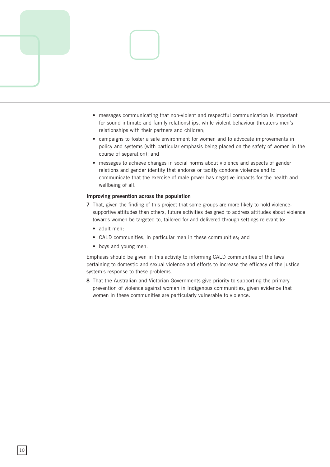

- messages communicating that non-violent and respectful communication is important for sound intimate and family relationships, while violent behaviour threatens men's relationships with their partners and children;
- campaigns to foster a safe environment for women and to advocate improvements in policy and systems (with particular emphasis being placed on the safety of women in the course of separation); and
- messages to achieve changes in social norms about violence and aspects of gender relations and gender identity that endorse or tacitly condone violence and to communicate that the exercise of male power has negative impacts for the health and wellbeing of all.

## **Improving prevention across the population**

- **7** That, given the finding of this project that some groups are more likely to hold violencesupportive attitudes than others, future activities designed to address attitudes about violence towards women be targeted to, tailored for and delivered through settings relevant to:
	- adult men:
	- CALD communities, in particular men in these communities; and
	- boys and young men.

Emphasis should be given in this activity to informing CALD communities of the laws pertaining to domestic and sexual violence and efforts to increase the efficacy of the justice system's response to these problems.

**8** That the Australian and Victorian Governments give priority to supporting the primary prevention of violence against women in Indigenous communities, given evidence that women in these communities are particularly vulnerable to violence.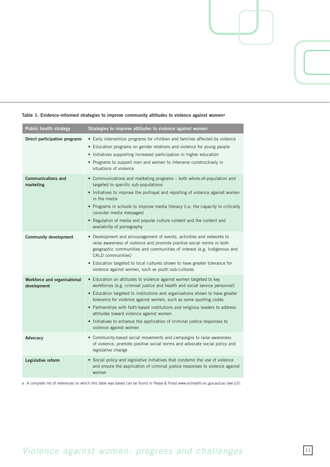| <b>Public health strategy</b>               | Strategies to improve attitudes to violence against women                                                                                                                                                                                                                                                                                                                                                                                                                                                                                |
|---------------------------------------------|------------------------------------------------------------------------------------------------------------------------------------------------------------------------------------------------------------------------------------------------------------------------------------------------------------------------------------------------------------------------------------------------------------------------------------------------------------------------------------------------------------------------------------------|
| Direct participation programs               | • Early intervention programs for children and families affected by violence<br>• Education programs on gender relations and violence for young people<br>• Initiatives supporting increased participation in higher education<br>• Programs to support men and women to intervene constructively in<br>situations of violence                                                                                                                                                                                                           |
| <b>Communications and</b><br>marketing      | • Communications and marketing programs - both whole-of-population and<br>targeted to specific sub-populations<br>• Initiatives to improve the portrayal and reporting of violence against women<br>in the media<br>• Programs in schools to improve media literacy (i.e. the capacity to critically<br>consider media messages)<br>• Regulation of media and popular culture content and the content and<br>availability of pornography                                                                                                 |
| <b>Community development</b>                | • Development and encouragement of events, activities and networks to<br>raise awareness of violence and promote positive social norms in both<br>geographic communities and communities of interest (e.g. Indigenous and<br>CALD communities)<br>• Education targeted to local cultures shown to have greater tolerance for<br>violence against women, such as youth sub-cultures                                                                                                                                                       |
| Workforce and organisational<br>development | • Education on attitudes to violence against women targeted to key<br>workforces (e.g. criminal justice and health and social service personnel)<br>• Education targeted to institutions and organisations shown to have greater<br>tolerance for violence against women, such as some sporting codes<br>• Partnerships with faith-based institutions and religious leaders to address<br>attitudes toward violence against women<br>• Initiatives to enhance the application of criminal justice responses to<br>violence against women |
| Advocacy                                    | • Community-based social movements and campaigns to raise awareness<br>of violence, promote positive social norms and advocate social policy and<br>legislative change                                                                                                                                                                                                                                                                                                                                                                   |
| Legislative reform                          | • Social policy and legislative initiatives that condemn the use of violence<br>and ensure the application of criminal justice responses to violence against<br>women                                                                                                                                                                                                                                                                                                                                                                    |
|                                             |                                                                                                                                                                                                                                                                                                                                                                                                                                                                                                                                          |

### **Table 1: Evidence-informed strategies to improve community attitudes to violence against womena**

a A complete list of references on which this table was based can be found in Pease & Flood www.vichealth.vic.gov.au/cas (see p3).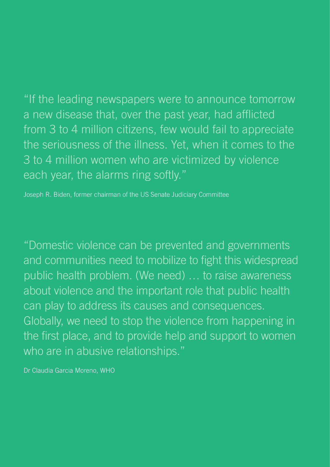"If the leading newspapers were to announce tomorrow a new disease that, over the past year, had afflicted from 3 to 4 million citizens, few would fail to appreciate the seriousness of the illness. Yet, when it comes to the 3 to 4 million women who are victimized by violence each year, the alarms ring softly."

Joseph R. Biden, former chairman of the US Senate Judiciary Committee

"Domestic violence can be prevented and governments and communities need to mobilize to fight this widespread public health problem. (We need) … to raise awareness about violence and the important role that public health can play to address its causes and consequences. Globally, we need to stop the violence from happening in the first place, and to provide help and support to women who are in abusive relationships."

Dr Claudia Garcia Moreno, WHO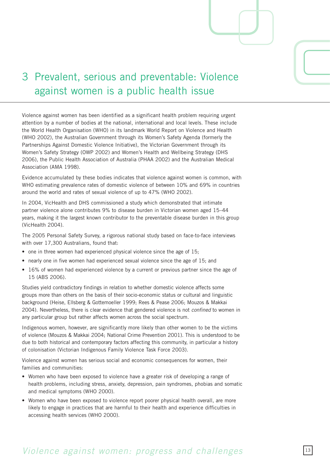## 3 Prevalent, serious and preventable: Violence against women is a public health issue

Violence against women has been identified as a significant health problem requiring urgent attention by a number of bodies at the national, international and local levels. These include the World Health Organisation (WHO) in its landmark World Report on Violence and Health (WHO 2002), the Australian Government through its Women's Safety Agenda (formerly the Partnerships Against Domestic Violence Initiative), the Victorian Government through its Women's Safety Strategy (OWP 2002) and Women's Health and Wellbeing Strategy (DHS 2006), the Public Health Association of Australia (PHAA 2002) and the Australian Medical Association (AMA 1998).

Evidence accumulated by these bodies indicates that violence against women is common, with WHO estimating prevalence rates of domestic violence of between 10% and 69% in countries around the world and rates of sexual violence of up to 47% (WHO 2002).

In 2004, VicHealth and DHS commissioned a study which demonstrated that intimate partner violence alone contributes 9% to disease burden in Victorian women aged 15–44 years, making it the largest known contributor to the preventable disease burden in this group (VicHealth 2004).

The 2005 Personal Safety Survey, a rigorous national study based on face-to-face interviews with over 17,300 Australians, found that:

- one in three women had experienced physical violence since the age of 15;
- nearly one in five women had experienced sexual violence since the age of 15; and
- 16% of women had experienced violence by a current or previous partner since the age of 15 (ABS 2006).

Studies yield contradictory findings in relation to whether domestic violence affects some groups more than others on the basis of their socio-economic status or cultural and linguistic background (Heise, Ellsberg & Gottemoeller 1999; Rees & Pease 006; Mouzos & Makkai 004). Nevertheless, there is clear evidence that gendered violence is not *confined* to women in any particular group but rather affects women across the social spectrum.

Indigenous women, however, are significantly more likely than other women to be the victims of violence (Mouzos & Makkai 2004; National Crime Prevention 2001). This is understood to be due to both historical and contemporary factors affecting this community, in particular a history of colonisation (Victorian Indigenous Family Violence Task Force 2003).

Violence against women has serious social and economic consequences for women, their families and communities:

- Women who have been exposed to violence have a greater risk of developing a range of health problems, including stress, anxiety, depression, pain syndromes, phobias and somatic and medical symptoms (WHO 2000).
- Women who have been exposed to violence report poorer physical health overall, are more likely to engage in practices that are harmful to their health and experience difficulties in accessing health services (WHO 2000).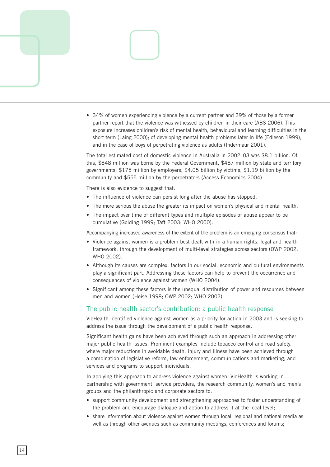

• 34% of women experiencing violence by a current partner and 39% of those by a former partner report that the violence was witnessed by children in their care (ABS 2006). This exposure increases children's risk of mental health, behavioural and learning difficulties in the short term (Laing 2000); of developing mental health problems later in life (Edleson 1999), and in the case of boys of perpetrating violence as adults (Indermaur 2001).

The total estimated cost of domestic violence in Australia in 2002–03 was \$8.1 billion. Of this, \$848 million was borne by the Federal Government, \$487 million by state and territory governments, \$175 million by employers, \$4.05 billion by victims, \$1.19 billion by the community and \$555 million by the perpetrators (Access Economics 2004).

There is also evidence to suggest that:

- The influence of violence can persist long after the abuse has stopped.
- The more serious the abuse the greater its impact on women's physical and mental health.
- The impact over time of different types and multiple episodes of abuse appear to be cumulative (Golding 1999; Taft 2003; WHO 2000).

Accompanying increased awareness of the extent of the problem is an emerging consensus that:

- Violence against women is a problem best dealt with in a human rights, legal and health framework, through the development of multi-level strategies across sectors (OWP 2002; WHO 2002).
- Although its causes are complex, factors in our social, economic and cultural environments play a significant part. Addressing these factors can help to prevent the occurrence and consequences of violence against women (WHO 2004).
- Significant among these factors is the unequal distribution of power and resources between men and women (Heise 1998; OWP 2002; WHO 2002).

## The public health sector's contribution: a public health response

VicHealth identified violence against women as a priority for action in 2003 and is seeking to address the issue through the development of a public health response.

Significant health gains have been achieved through such an approach in addressing other major public health issues. Prominent examples include tobacco control and road safety, where major reductions in avoidable death, injury and illness have been achieved through a combination of legislative reform, law enforcement, communications and marketing, and services and programs to support individuals.

In applying this approach to address violence against women, VicHealth is working in partnership with government, service providers, the research community, women's and men's groups and the philanthropic and corporate sectors to:

- support community development and strengthening approaches to foster understanding of the problem and encourage dialogue and action to address it at the local level;
- share information about violence against women through local, regional and national media as well as through other avenues such as community meetings, conferences and forums;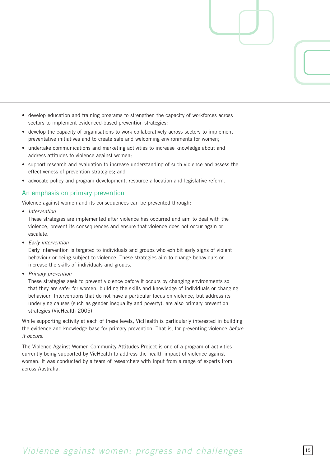- develop education and training programs to strengthen the capacity of workforces across sectors to implement evidenced-based prevention strategies;
- develop the capacity of organisations to work collaboratively across sectors to implement preventative initiatives and to create safe and welcoming environments for women;
- undertake communications and marketing activities to increase knowledge about and address attitudes to violence against women;
- support research and evaluation to increase understanding of such violence and assess the effectiveness of prevention strategies; and
- advocate policy and program development, resource allocation and legislative reform.

## An emphasis on primary prevention

Violence against women and its consequences can be prevented through:

• *Intervention* 

These strategies are implemented after violence has occurred and aim to deal with the violence, prevent its consequences and ensure that violence does not occur again or escalate.

• *Early intervention* 

Early intervention is targeted to individuals and groups who exhibit early signs of violent behaviour or being subject to violence. These strategies aim to change behaviours or increase the skills of individuals and groups.

• *Primary prevention* 

These strategies seek to prevent violence before it occurs by changing environments so that they are safer for women, building the skills and knowledge of individuals or changing behaviour. Interventions that do not have a particular focus on violence, but address its underlying causes (such as gender inequality and poverty), are also primary prevention strategies (VicHealth 2005).

While supporting activity at each of these levels, VicHealth is particularly interested in building the evidence and knowledge base for primary prevention. That is, for preventing violence *before it occurs.* 

The Violence Against Women Community Attitudes Project is one of a program of activities currently being supported by VicHealth to address the health impact of violence against women. It was conducted by a team of researchers with input from a range of experts from across Australia.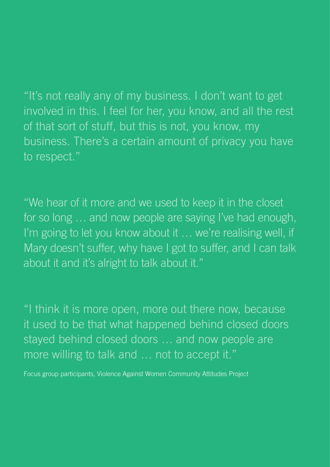"It's not really any of my business. I don't want to get involved in this. I feel for her, you know, and all the rest of that sort of stuff, but this is not, you know, my business. There's a certain amount of privacy you have to respect."

"We hear of it more and we used to keep it in the closet for so long … and now people are saying I've had enough, I'm going to let you know about it ... we're realising well, if Mary doesn't suffer, why have I got to suffer, and I can talk about it and it's alright to talk about it."

"I think it is more open, more out there now, because it used to be that what happened behind closed doors stayed behind closed doors … and now people are more willing to talk and … not to accept it."

Focus group participants, Violence Against Women Community Attitudes Project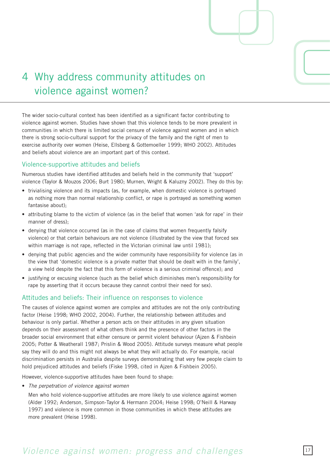

## 4 Why address community attitudes on violence against women?

The wider socio-cultural context has been identified as a significant factor contributing to violence against women. Studies have shown that this violence tends to be more prevalent in communities in which there is limited social censure of violence against women and in which there is strong socio-cultural support for the privacy of the family and the right of men to exercise authority over women (Heise, Ellsberg & Gottemoeller 1999; WHO 2002). Attitudes and beliefs about violence are an important part of this context.

## Violence-supportive attitudes and beliefs

Numerous studies have identified attitudes and beliefs held in the community that 'support' violence (Taylor & Mouzos 2006; Burt 1980; Murnen, Wright & Kaluzny 2002). They do this by:

- trivialising violence and its impacts (as, for example, when domestic violence is portrayed as nothing more than normal relationship conflict, or rape is portrayed as something women fantasise about);
- attributing blame to the victim of violence (as in the belief that women 'ask for rape' in their manner of dress);
- denying that violence occurred (as in the case of claims that women frequently falsify violence) or that certain behaviours are not violence (illustrated by the view that forced sex within marriage is not rape, reflected in the Victorian criminal law until 1981);
- denying that public agencies and the wider community have responsibility for violence (as in the view that 'domestic violence is a private matter that should be dealt with in the family', a view held despite the fact that this form of violence is a serious criminal offence); and
- justifying or excusing violence (such as the belief which diminishes men's responsibility for rape by asserting that it occurs because they cannot control their need for sex).

## Attitudes and beliefs: Their influence on responses to violence

The causes of violence against women are complex and attitudes are not the only contributing factor (Heise 1998; WHO 2002, 2004). Further, the relationship between attitudes and behaviour is only partial. Whether a person acts on their attitudes in any given situation depends on their assessment of what others think and the presence of other factors in the broader social environment that either censure or permit violent behaviour (Ajzen & Fishbein 2005; Potter & Weatherall 1987; Prislin & Wood 2005). Attitude surveys measure what people say they will do and this might not always be what they will actually do. For example, racial discrimination persists in Australia despite surveys demonstrating that very few people claim to hold prejudiced attitudes and beliefs (Fiske 1998, cited in Ajzen & Fishbein 2005).

However, violence-supportive attitudes have been found to shape:

• *The perpetration of violence against women* 

Men who hold violence-supportive attitudes are more likely to use violence against women (Alder 1992; Anderson, Simpson-Taylor & Hermann 2004; Heise 1998; O'Neill & Harway 1997) and violence is more common in those communities in which these attitudes are more prevalent (Heise 1998).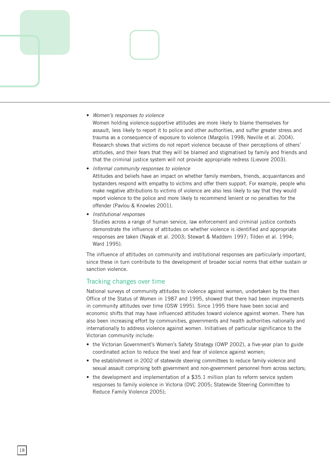

#### • *Women's responses to violence*

Women holding violence-supportive attitudes are more likely to blame themselves for assault, less likely to report it to police and other authorities, and suffer greater stress and trauma as a consequence of exposure to violence (Margolis 1998; Neville et al. 2004). Research shows that victims do not report violence because of their perceptions of others' attitudes, and their fears that they will be blamed and stigmatised by family and friends and that the criminal justice system will not provide appropriate redress (Lievore 2003).

• *Informal community responses to violence* 

Attitudes and beliefs have an impact on whether family members, friends, acquaintances and bystanders respond with empathy to victims and offer them support. For example, people who make negative attributions to victims of violence are also less likely to say that they would report violence to the police and more likely to recommend lenient or no penalties for the offender (Pavlou & Knowles 2001).

• *Institutional responses* 

Studies across a range of human service, law enforcement and criminal justice contexts demonstrate the influence of attitudes on whether violence is identified and appropriate responses are taken (Nayak et al. 2003; Stewart & Maddern 1997; Tilden et al. 1994; Ward 1995).

The influence of attitudes on community and institutional responses are particularly important, since these in turn contribute to the development of broader social norms that either sustain or sanction violence.

## Tracking changes over time

National surveys of community attitudes to violence against women, undertaken by the then Office of the Status of Women in 1987 and 1995, showed that there had been improvements in community attitudes over time (OSW 1995). Since 1995 there have been social and economic shifts that may have influenced attitudes toward violence against women. There has also been increasing effort by communities, governments and health authorities nationally and internationally to address violence against women. Initiatives of particular significance to the Victorian community include:

- the Victorian Government's Women's Safety Strategy (OWP 2002), a five-year plan to guide coordinated action to reduce the level and fear of violence against women;
- the establishment in 2002 of statewide steering committees to reduce family violence and sexual assault comprising both government and non-government personnel from across sectors;
- the development and implementation of a \$35.1 million plan to reform service system responses to family violence in Victoria (DVC 2005; Statewide Steering Committee to Reduce Family Violence 2005);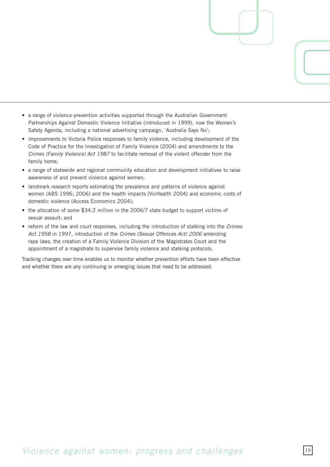- a range of violence-prevention activities supported through the Australian Government Partnerships Against Domestic Violence Initiative (introduced in 1999), now the Women's Safety Agenda, including a national advertising campaign, 'Australia Says No';
- improvements to Victoria Police responses to family violence, including development of the Code of Practice for the Investigation of Family Violence (2004) and amendments to the *Crimes (Family Violence) Act 1987* to facilitate removal of the violent offender from the family home;
- a range of statewide and regional community education and development initiatives to raise awareness of and prevent violence against women;
- landmark research reports estimating the prevalence and patterns of violence against women (ABS 1996; 2006) and the health impacts (VicHealth 2004) and economic costs of domestic violence (Access Economics 2004);
- the allocation of some \$34.2 million in the 2006/7 state budget to support victims of sexual assault; and
- reform of the law and court responses, including the introduction of stalking into the *Crimes Act 1958* in 1997, introduction of the *Crimes (Sexual Offences Act) 2006* amending rape laws, the creation of a Family Violence Division of the Magistrates Court and the appointment of a magistrate to supervise family violence and stalking protocols.

Tracking changes over time enables us to monitor whether prevention efforts have been effective and whether there are any continuing or emerging issues that need to be addressed.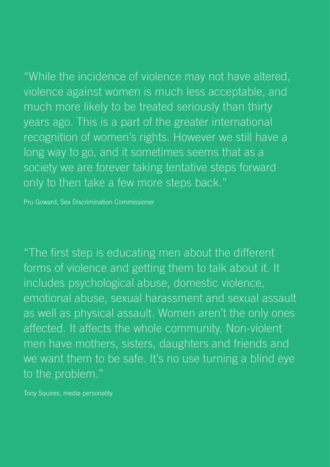"While the incidence of violence may not have altered, violence against women is much less acceptable, and much more likely to be treated seriously than thirty years ago. This is a part of the greater international recognition of women's rights. However we still have a long way to go, and it sometimes seems that as a society we are forever taking tentative steps forward only to then take a few more steps back."

Pru Goward, Sex Discrimination Commissioner

"The first step is educating men about the different forms of violence and getting them to talk about it. It includes psychological abuse, domestic violence, emotional abuse, sexual harassment and sexual assault as well as physical assault. Women aren't the only ones affected. It affects the whole community. Non-violent men have mothers, sisters, daughters and friends and we want them to be safe. It's no use turning a blind eye to the problem."

Tony Squires, media personality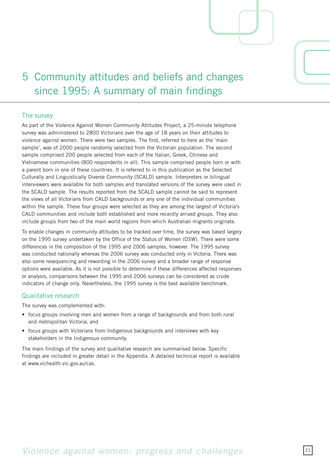

## 5 Community attitudes and beliefs and changes since 1995: A summary of main findings

## The survey

As part of the Violence Against Women Community Attitudes Project, a 25-minute telephone survey was administered to 2800 Victorians over the age of 18 years on their attitudes to violence against women. There were two samples. The first, referred to here as the 'main sample', was of 2000 people randomly selected from the Victorian population. The second sample comprised 200 people selected from each of the Italian, Greek, Chinese and Vietnamese communities (800 respondents in all). This sample comprised people born or with a parent born in one of these countries. It is referred to in this publication as the Selected Culturally and Linguistically Diverse Community (SCALD) sample. Interpreters or bilingual interviewers were available for both samples and translated versions of the survey were used in the SCALD sample. The results reported from the SCALD sample cannot be said to represent the views of all Victorians from CALD backgrounds or any one of the individual communities within the sample. These four groups were selected as they are among the largest of Victoria's CALD communities and include both established and more recently arrived groups. They also include groups from two of the main world regions from which Australian migrants originate.

To enable changes in community attitudes to be tracked over time, the survey was based largely on the 1995 survey undertaken by the Office of the Status of Women (OSW). There were some differences in the composition of the 1995 and 2006 samples, however. The 1995 survey was conducted nationally whereas the 2006 survey was conducted only in Victoria. There was also some resequencing and rewording in the 006 survey and a broader range of response options were available. As it is not possible to determine if these differences affected responses or analysis, comparisons between the 1995 and 2006 surveys can be considered as crude indicators of change only. Nevertheless, the 1995 survey is the best available benchmark.

## Qualitative research

The survey was complemented with:

- focus groups involving men and women from a range of backgrounds and from both rural and metropolitan Victoria; and
- focus groups with Victorians from Indigenous backgrounds and interviews with key stakeholders in the Indigenous community.

The main findings of the survey and qualitative research are summarised below. Specific findings are included in greater detail in the Appendix. A detailed technical report is available at www.vichealth.vic.gov.au/cas.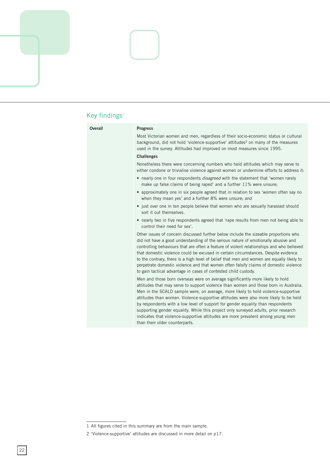

## Key findings $1$

| Overall | <b>Progress</b>                                                                                                                                                                                                                                                                                                                                                                                                                                                                                                                                                                                                                                   |
|---------|---------------------------------------------------------------------------------------------------------------------------------------------------------------------------------------------------------------------------------------------------------------------------------------------------------------------------------------------------------------------------------------------------------------------------------------------------------------------------------------------------------------------------------------------------------------------------------------------------------------------------------------------------|
|         | Most Victorian women and men, regardless of their socio-economic status or cultural<br>background, did not hold 'violence-supportive' attitudes <sup>2</sup> on many of the measures<br>used in the survey. Attitudes had improved on most measures since 1995.                                                                                                                                                                                                                                                                                                                                                                                   |
|         | <b>Challenges</b>                                                                                                                                                                                                                                                                                                                                                                                                                                                                                                                                                                                                                                 |
|         | Nonetheless there were concerning numbers who held attitudes which may serve to<br>either condone or trivialise violence against women or undermine efforts to address it:                                                                                                                                                                                                                                                                                                                                                                                                                                                                        |
|         | • nearly one in four respondents disagreed with the statement that 'women rarely<br>make up false claims of being raped' and a further 11% were unsure;                                                                                                                                                                                                                                                                                                                                                                                                                                                                                           |
|         | • approximately one in six people agreed that in relation to sex 'women often say no<br>when they mean yes' and a further 8% were unsure; and                                                                                                                                                                                                                                                                                                                                                                                                                                                                                                     |
|         | • just over one in ten people believe that women who are sexually harassed should<br>sort it out themselves.                                                                                                                                                                                                                                                                                                                                                                                                                                                                                                                                      |
|         | • nearly two in five respondents agreed that 'rape results from men not being able to<br>control their need for sex'.                                                                                                                                                                                                                                                                                                                                                                                                                                                                                                                             |
|         | Other issues of concern discussed further below include the sizeable proportions who<br>did not have a good understanding of the serious nature of emotionally abusive and<br>controlling behaviours that are often a feature of violent relationships and who believed<br>that domestic violence could be excused in certain circumstances. Despite evidence<br>to the contrary, there is a high level of belief that men and women are equally likely to<br>perpetrate domestic violence and that women often falsify claims of domestic violence<br>to gain tactical advantage in cases of contested child custody.                            |
|         | Men and those born overseas were on average significantly more likely to hold<br>attitudes that may serve to support violence than women and those born in Australia.<br>Men in the SCALD sample were, on average, more likely to hold violence-supportive<br>attitudes than women. Violence-supportive attitudes were also more likely to be held<br>by respondents with a low level of support for gender equality than respondents<br>supporting gender equality. While this project only surveyed adults, prior research<br>indicates that violence-supportive attitudes are more prevalent among young men<br>than their older counterparts. |

<sup>1</sup> All figures cited in this summary are from the main sample.

 <sup>&#</sup>x27;Violence-supportive' attitudes are discussed in more detail on p17.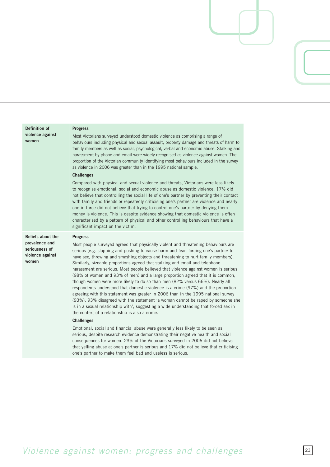| Definition of                                                 | <b>Progress</b>                                                                                                                                                                                                                                                                                                                                                                                                                                                                                                                                                                                                                                                                                                                                                                                                                                                                                                                                                                                                |
|---------------------------------------------------------------|----------------------------------------------------------------------------------------------------------------------------------------------------------------------------------------------------------------------------------------------------------------------------------------------------------------------------------------------------------------------------------------------------------------------------------------------------------------------------------------------------------------------------------------------------------------------------------------------------------------------------------------------------------------------------------------------------------------------------------------------------------------------------------------------------------------------------------------------------------------------------------------------------------------------------------------------------------------------------------------------------------------|
| violence against<br>women                                     | Most Victorians surveyed understood domestic violence as comprising a range of<br>behaviours including physical and sexual assault, property damage and threats of harm to<br>family members as well as social, psychological, verbal and economic abuse. Stalking and<br>harassment by phone and email were widely recognised as violence against women. The<br>proportion of the Victorian community identifying most behaviours included in the survey<br>as violence in 2006 was greater than in the 1995 national sample.                                                                                                                                                                                                                                                                                                                                                                                                                                                                                 |
|                                                               | <b>Challenges</b>                                                                                                                                                                                                                                                                                                                                                                                                                                                                                                                                                                                                                                                                                                                                                                                                                                                                                                                                                                                              |
|                                                               | Compared with physical and sexual violence and threats, Victorians were less likely<br>to recognise emotional, social and economic abuse as domestic violence. 17% did<br>not believe that controlling the social life of one's partner by preventing their contact<br>with family and friends or repeatedly criticising one's partner are violence and nearly<br>one in three did not believe that trying to control one's partner by denying them<br>money is violence. This is despite evidence showing that domestic violence is often<br>characterised by a pattern of physical and other controlling behaviours that have a<br>significant impact on the victim.                                                                                                                                                                                                                                                                                                                                         |
| <b>Beliefs about the</b>                                      | <b>Progress</b>                                                                                                                                                                                                                                                                                                                                                                                                                                                                                                                                                                                                                                                                                                                                                                                                                                                                                                                                                                                                |
| prevalence and<br>seriousness of<br>violence against<br>women | Most people surveyed agreed that physically violent and threatening behaviours are<br>serious (e.g. slapping and pushing to cause harm and fear, forcing one's partner to<br>have sex, throwing and smashing objects and threatening to hurt family members).<br>Similarly, sizeable proportions agreed that stalking and email and telephone<br>harassment are serious. Most people believed that violence against women is serious<br>(98% of women and 93% of men) and a large proportion agreed that it is common,<br>though women were more likely to do so than men (82% versus 66%). Nearly all<br>respondents understood that domestic violence is a crime (97%) and the proportion<br>agreeing with this statement was greater in 2006 than in the 1995 national survey<br>(93%). 93% disagreed with the statement 'a woman cannot be raped by someone she<br>is in a sexual relationship with', suggesting a wide understanding that forced sex in<br>the context of a relationship is also a crime. |
|                                                               | <b>Challenges</b>                                                                                                                                                                                                                                                                                                                                                                                                                                                                                                                                                                                                                                                                                                                                                                                                                                                                                                                                                                                              |
|                                                               | Emotional, social and financial abuse were generally less likely to be seen as<br>serious, despite research evidence demonstrating their negative health and social<br>consequences for women. 23% of the Victorians surveyed in 2006 did not believe<br>that yelling abuse at one's partner is serious and 17% did not believe that criticising                                                                                                                                                                                                                                                                                                                                                                                                                                                                                                                                                                                                                                                               |

## *Violence against women: progress and challenges*

one's partner to make them feel bad and useless is serious.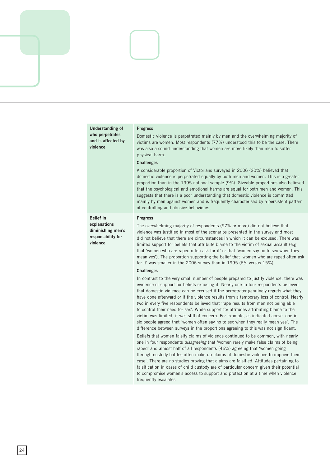| Understanding of<br>who perpetrates<br>and is affected by<br>violence                   | <b>Progress</b><br>Domestic violence is perpetrated mainly by men and the overwhelming majority of<br>victims are women. Most respondents (77%) understood this to be the case. There<br>was also a sound understanding that women are more likely than men to suffer<br>physical harm.<br><b>Challenges</b><br>A considerable proportion of Victorians surveyed in 2006 (20%) believed that<br>domestic violence is perpetrated equally by both men and women. This is a greater<br>proportion than in the 1995 national sample (9%). Sizeable proportions also believed<br>that the psychological and emotional harms are equal for both men and women. This<br>suggests that there is a poor understanding that domestic violence is committed<br>mainly by men against women and is frequently characterised by a persistent pattern<br>of controlling and abusive behaviours.                                                                                                                                                                                                                                                                                                              |
|-----------------------------------------------------------------------------------------|-------------------------------------------------------------------------------------------------------------------------------------------------------------------------------------------------------------------------------------------------------------------------------------------------------------------------------------------------------------------------------------------------------------------------------------------------------------------------------------------------------------------------------------------------------------------------------------------------------------------------------------------------------------------------------------------------------------------------------------------------------------------------------------------------------------------------------------------------------------------------------------------------------------------------------------------------------------------------------------------------------------------------------------------------------------------------------------------------------------------------------------------------------------------------------------------------|
| <b>Belief in</b><br>explanations<br>diminishing men's<br>responsibility for<br>violence | <b>Progress</b><br>The overwhelming majority of respondents (97% or more) did not believe that<br>violence was justified in most of the scenarios presented in the survey and most<br>did not believe that there are circumstances in which it can be excused. There was<br>limited support for beliefs that attribute blame to the victim of sexual assault (e.g.<br>that 'women who are raped often ask for it' or that 'women say no to sex when they<br>mean yes'). The proportion supporting the belief that 'women who are raped often ask<br>for it' was smaller in the 2006 survey than in 1995 (6% versus 15%).<br><b>Challenges</b><br>In contrast to the very small number of people prepared to justify violence, there was<br>evidence of support for beliefs excusing it. Nearly one in four respondents believed<br>that domestic violence can be excused if the perpetrator genuinely regrets what they<br>have done afterward or if the violence results from a temporary loss of control. Nearly<br>two in every five respondents believed that 'rape results from men not being able<br>to control their need for sex'. While support for attitudes attributing blame to the |
|                                                                                         | victim was limited, it was still of concern. For example, as indicated above, one in<br>six people agreed that 'women often say no to sex when they really mean yes'. The<br>difference between surveys in the proportions agreeing to this was not significant.<br>Beliefs that women falsify claims of violence continued to be common, with nearly<br>one in four respondents <i>disagreeing</i> that 'women rarely make false claims of being<br>raped' and almost half of all respondents (46%) agreeing that 'women going<br>through custody battles often make up claims of domestic violence to improve their<br>case'. There are no studies proving that claims are falsified. Attitudes pertaining to<br>falsification in cases of child custody are of particular concern given their potential<br>to compromise women's access to support and protection at a time when violence<br>frequently escalates.                                                                                                                                                                                                                                                                           |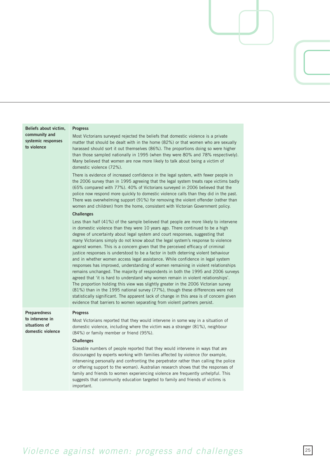| Beliefs about victim,<br>community and<br>systemic responses<br>to violence  | <b>Progress</b><br>Most Victorians surveyed rejected the beliefs that domestic violence is a private<br>matter that should be dealt with in the home (82%) or that women who are sexually<br>harassed should sort it out themselves (86%). The proportions doing so were higher<br>than those sampled nationally in 1995 (when they were 80% and 78% respectively).<br>Many believed that women are now more likely to talk about being a victim of<br>domestic violence (72%).<br>There is evidence of increased confidence in the legal system, with fewer people in<br>the 2006 survey than in 1995 agreeing that the legal system treats rape victims badly<br>(65% compared with 77%). 40% of Victorians surveyed in 2006 believed that the<br>police now respond more quickly to domestic violence calls than they did in the past.<br>There was overwhelming support (91%) for removing the violent offender (rather than<br>women and children) from the home, consistent with Victorian Government policy.<br><b>Challenges</b><br>Less than half (41%) of the sample believed that people are more likely to intervene<br>in domestic violence than they were 10 years ago. There continued to be a high<br>degree of uncertainty about legal system and court responses, suggesting that<br>many Victorians simply do not know about the legal system's response to violence<br>against women. This is a concern given that the perceived efficacy of criminal<br>justice responses is understood to be a factor in both deterring violent behaviour<br>and in whether women access legal assistance. While confidence in legal system<br>responses has improved, understanding of women remaining in violent relationships<br>remains unchanged. The majority of respondents in both the 1995 and 2006 surveys<br>agreed that 'it is hard to understand why women remain in violent relationships'.<br>The proportion holding this view was slightly greater in the 2006 Victorian survey<br>(81%) than in the 1995 national survey (77%), though these differences were not<br>statistically significant. The apparent lack of change in this area is of concern given<br>evidence that barriers to women separating from violent partners persist. |
|------------------------------------------------------------------------------|------------------------------------------------------------------------------------------------------------------------------------------------------------------------------------------------------------------------------------------------------------------------------------------------------------------------------------------------------------------------------------------------------------------------------------------------------------------------------------------------------------------------------------------------------------------------------------------------------------------------------------------------------------------------------------------------------------------------------------------------------------------------------------------------------------------------------------------------------------------------------------------------------------------------------------------------------------------------------------------------------------------------------------------------------------------------------------------------------------------------------------------------------------------------------------------------------------------------------------------------------------------------------------------------------------------------------------------------------------------------------------------------------------------------------------------------------------------------------------------------------------------------------------------------------------------------------------------------------------------------------------------------------------------------------------------------------------------------------------------------------------------------------------------------------------------------------------------------------------------------------------------------------------------------------------------------------------------------------------------------------------------------------------------------------------------------------------------------------------------------------------------------------------------------------------------------------------------------------------------------------------------|
| <b>Preparedness</b><br>to intervene in<br>situations of<br>domestic violence | <b>Progress</b><br>Most Victorians reported that they would intervene in some way in a situation of<br>domestic violence, including where the victim was a stranger $(81\%)$ , neighbour<br>(84%) or family member or friend (95%).<br><b>Challenges</b><br>Sizeable numbers of people reported that they would intervene in ways that are<br>discouraged by experts working with families affected by violence (for example,<br>intervening personally and confronting the perpetrator rather than calling the police<br>or offering support to the woman). Australian research shows that the responses of<br>family and friends to women experiencing violence are frequently unhelpful. This<br>suggests that community education targeted to family and friends of victims is<br>important.                                                                                                                                                                                                                                                                                                                                                                                                                                                                                                                                                                                                                                                                                                                                                                                                                                                                                                                                                                                                                                                                                                                                                                                                                                                                                                                                                                                                                                                                 |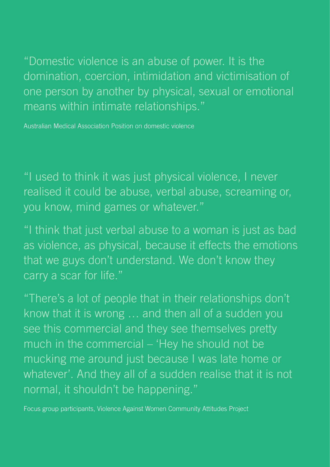"Domestic violence is an abuse of power. It is the domination, coercion, intimidation and victimisation of one person by another by physical, sexual or emotional means within intimate relationships."

Australian Medical Association Position on domestic violence

"I used to think it was just physical violence, I never realised it could be abuse, verbal abuse, screaming or, you know, mind games or whatever."

"I think that just verbal abuse to a woman is just as bad as violence, as physical, because it effects the emotions that we guys don't understand. We don't know they carry a scar for life."

"There's a lot of people that in their relationships don't know that it is wrong … and then all of a sudden you see this commercial and they see themselves pretty much in the commercial – 'Hey he should not be mucking me around just because I was late home or whatever'. And they all of a sudden realise that it is not normal, it shouldn't be happening."

Focus group participants, Violence Against Women Community Attitudes Project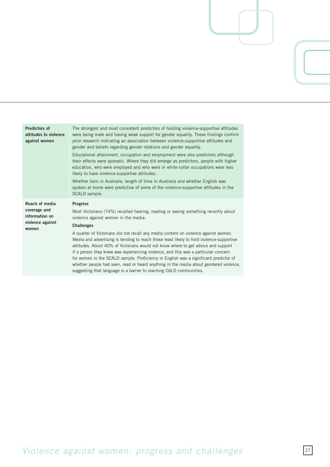| <b>Predictors of</b><br>attitudes to violence<br>against women       | The strongest and most consistent predictors of holding violence-supportive attitudes<br>were being male and having weak support for gender equality. These findings confirm<br>prior research indicating an association between violence-supportive attitudes and<br>gender and beliefs regarding gender relations and gender equality.<br>Educational attainment, occupation and employment were also predictors although<br>their effects were sporadic. Where they did emerge as predictors, people with higher<br>education, who were employed and who were in white-collar occupations were less<br>likely to have violence-supportive attitudes.<br>Whether born in Australia, length of time in Australia and whether English was |
|----------------------------------------------------------------------|-------------------------------------------------------------------------------------------------------------------------------------------------------------------------------------------------------------------------------------------------------------------------------------------------------------------------------------------------------------------------------------------------------------------------------------------------------------------------------------------------------------------------------------------------------------------------------------------------------------------------------------------------------------------------------------------------------------------------------------------|
|                                                                      | spoken at home were predictive of some of the violence-supportive attitudes in the<br>SCALD sample.                                                                                                                                                                                                                                                                                                                                                                                                                                                                                                                                                                                                                                       |
| Reach of media<br>coverage and<br>information on<br>violence against | <b>Progress</b><br>Most Victorians (74%) recalled hearing, reading or seeing something recently about<br>violence against women in the media.<br><b>Challenges</b>                                                                                                                                                                                                                                                                                                                                                                                                                                                                                                                                                                        |
| women                                                                | A quarter of Victorians did not recall any media content on violence against women.<br>Media and advertising is tending to reach those least likely to hold violence-supportive<br>attitudes. About 40% of Victorians would not know where to get advice and support<br>if a person they knew was experiencing violence, and this was a particular concern<br>for women in the SCALD sample. Proficiency in English was a significant predictor of                                                                                                                                                                                                                                                                                        |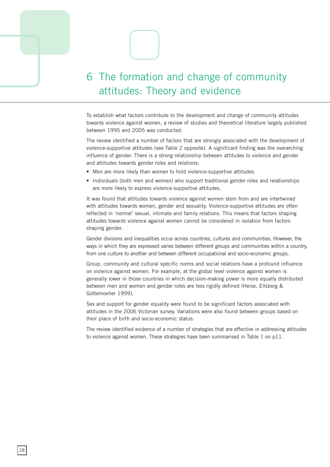## 6 The formation and change of community attitudes: Theory and evidence

To establish what factors contribute to the development and change of community attitudes towards violence against women, a review of studies and theoretical literature largely published between 1995 and 2005 was conducted.

The review identified a number of factors that are strongly associated with the development of violence-supportive attitudes (see Table 2 opposite). A significant finding was the overarching influence of gender. There is a strong relationship between attitudes to violence and gender and attitudes towards gender roles and relations:

- Men are more likely than women to hold violence-supportive attitudes.
- Individuals (both men and women) who support traditional gender roles and relationships are more likely to express violence-supportive attitudes.

It was found that attitudes towards violence against women stem from and are intertwined with attitudes towards women, gender and sexuality. Violence-supportive attitudes are often reflected in 'normal' sexual, intimate and family relations. This means that factors shaping attitudes towards violence against women cannot be considered in isolation from factors shaping gender.

Gender divisions and inequalities occur across countries, cultures and communities. However, the ways in which they are expressed varies between different groups and communities within a country, from one culture to another and between different occupational and socio-economic groups.

Group, community and cultural specific norms and social relations have a profound influence on violence against women. For example, at the global level violence against women is generally lower in those countries in which decision-making power is more equally distributed between men and women and gender roles are less rigidly defined (Heise, Ellsberg & Gottemoeller 1999).

Sex and support for gender equality were found to be significant factors associated with attitudes in the 006 Victorian survey. Variations were also found between groups based on their place of birth and socio-economic status.

The review identified evidence of a number of strategies that are effective in addressing attitudes to violence against women. These strategies have been summarised in Table 1 on p11.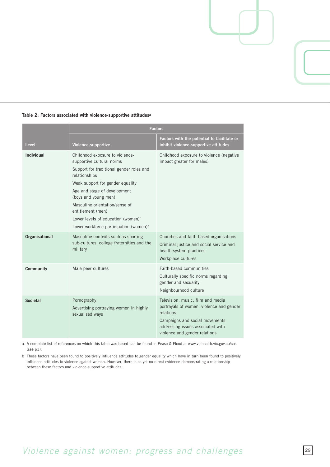

### **Table 2: Factors associated with violence-supportive attitudesa**

a A complete list of references on which this table was based can be found in Pease & Flood at www.vichealth.vic.gov.au/cas  $(see p3).$ 

b These factors have been found to positively influence attitudes to gender equality which have in turn been found to positively influence attitudes to violence against women. However, there is as yet no direct evidence demonstrating a relationship between these factors and violence-supportive attitudes.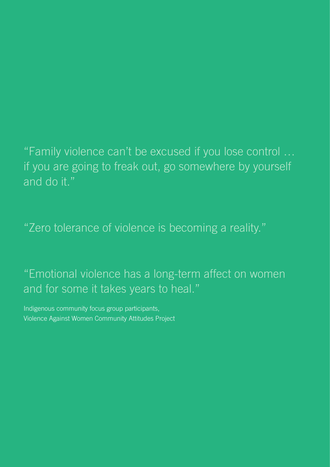"Family violence can't be excused if you lose control … if you are going to freak out, go somewhere by yourself and do it."

"Zero tolerance of violence is becoming a reality."

"Emotional violence has a long-term affect on women and for some it takes years to heal."

Indigenous community focus group participants, Violence Against Women Community Attitudes Project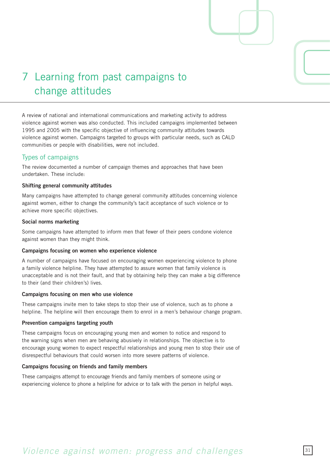## 7 Learning from past campaigns to change attitudes

A review of national and international communications and marketing activity to address violence against women was also conducted. This included campaigns implemented between 1995 and 2005 with the specific objective of influencing community attitudes towards violence against women. Campaigns targeted to groups with particular needs, such as CALD communities or people with disabilities, were not included.

## Types of campaigns

The review documented a number of campaign themes and approaches that have been undertaken. These include:

## **Shifting general community attitudes**

Many campaigns have attempted to change general community attitudes concerning violence against women, either to change the community's tacit acceptance of such violence or to achieve more specific objectives.

### **Social norms marketing**

Some campaigns have attempted to inform men that fewer of their peers condone violence against women than they might think.

## **Campaigns focusing on women who experience violence**

A number of campaigns have focused on encouraging women experiencing violence to phone a family violence helpline. They have attempted to assure women that family violence is unacceptable and is not their fault, and that by obtaining help they can make a big difference to their (and their children's) lives.

## **Campaigns focusing on men who use violence**

These campaigns invite men to take steps to stop their use of violence, such as to phone a helpline. The helpline will then encourage them to enrol in a men's behaviour change program.

## **Prevention campaigns targeting youth**

These campaigns focus on encouraging young men and women to notice and respond to the warning signs when men are behaving abusively in relationships. The objective is to encourage young women to expect respectful relationships and young men to stop their use of disrespectful behaviours that could worsen into more severe patterns of violence.

## **Campaigns focusing on friends and family members**

These campaigns attempt to encourage friends and family members of someone using or experiencing violence to phone a helpline for advice or to talk with the person in helpful ways.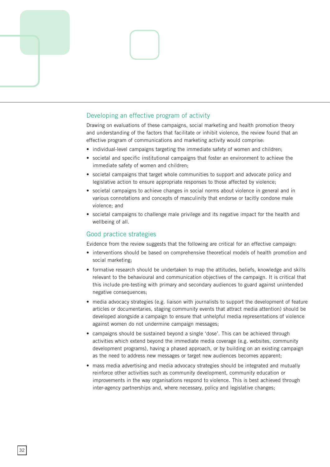

## Developing an effective program of activity

Drawing on evaluations of these campaigns, social marketing and health promotion theory and understanding of the factors that facilitate or inhibit violence, the review found that an effective program of communications and marketing activity would comprise:

- individual-level campaigns targeting the immediate safety of women and children;
- societal and specific institutional campaigns that foster an environment to achieve the immediate safety of women and children;
- societal campaigns that target whole communities to support and advocate policy and legislative action to ensure appropriate responses to those affected by violence;
- societal campaigns to achieve changes in social norms about violence in general and in various connotations and concepts of masculinity that endorse or tacitly condone male violence; and
- societal campaigns to challenge male privilege and its negative impact for the health and wellbeing of all.

## Good practice strategies

Evidence from the review suggests that the following are critical for an effective campaign:

- interventions should be based on comprehensive theoretical models of health promotion and social marketing;
- formative research should be undertaken to map the attitudes, beliefs, knowledge and skills relevant to the behavioural and communication objectives of the campaign. It is critical that this include pre-testing with primary and secondary audiences to guard against unintended negative consequences;
- media advocacy strategies (e.g. liaison with journalists to support the development of feature articles or documentaries, staging community events that attract media attention) should be developed alongside a campaign to ensure that unhelpful media representations of violence against women do not undermine campaign messages;
- campaigns should be sustained beyond a single 'dose'. This can be achieved through activities which extend beyond the immediate media coverage (e.g. websites, community development programs), having a phased approach, or by building on an existing campaign as the need to address new messages or target new audiences becomes apparent;
- mass media advertising and media advocacy strategies should be integrated and mutually reinforce other activities such as community development, community education or improvements in the way organisations respond to violence. This is best achieved through inter-agency partnerships and, where necessary, policy and legislative changes;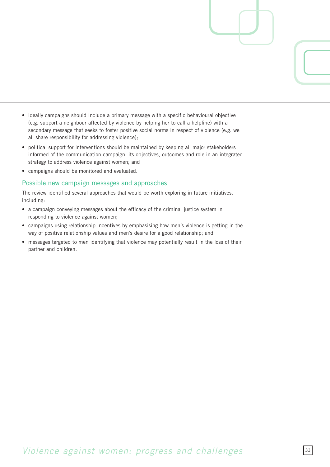- ideally campaigns should include a primary message with a specific behavioural objective (e.g. support a neighbour affected by violence by helping her to call a helpline) with a secondary message that seeks to foster positive social norms in respect of violence (e.g. we all share responsibility for addressing violence);
- political support for interventions should be maintained by keeping all major stakeholders informed of the communication campaign, its objectives, outcomes and role in an integrated strategy to address violence against women; and
- campaigns should be monitored and evaluated.

## Possible new campaign messages and approaches

The review identified several approaches that would be worth exploring in future initiatives, including:

- a campaign conveying messages about the efficacy of the criminal justice system in responding to violence against women;
- campaigns using relationship incentives by emphasising how men's violence is getting in the way of positive relationship values and men's desire for a good relationship; and
- messages targeted to men identifying that violence may potentially result in the loss of their partner and children.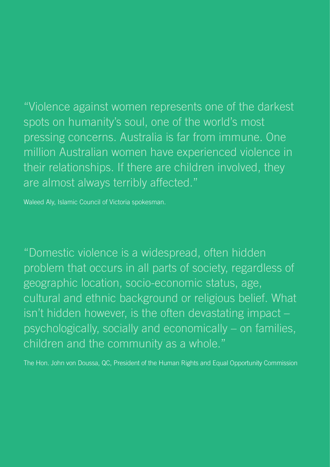"Violence against women represents one of the darkest spots on humanity's soul, one of the world's most pressing concerns. Australia is far from immune. One million Australian women have experienced violence in their relationships. If there are children involved, they are almost always terribly affected."

Waleed Aly, Islamic Council of Victoria spokesman.

"Domestic violence is a widespread, often hidden problem that occurs in all parts of society, regardless of geographic location, socio-economic status, age, cultural and ethnic background or religious belief. What isn't hidden however, is the often devastating impact – psychologically, socially and economically – on families, children and the community as a whole."

The Hon. John von Doussa, QC, President of the Human Rights and Equal Opportunity Commission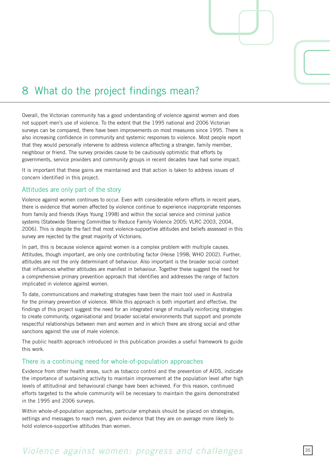

# 8 What do the project findings mean?

Overall, the Victorian community has a good understanding of violence against women and does not support men's use of violence. To the extent that the 1995 national and 2006 Victorian surveys can be compared, there have been improvements on most measures since 1995. There is also increasing confidence in community and systemic responses to violence. Most people report that they would personally intervene to address violence affecting a stranger, family member, neighbour or friend. The survey provides cause to be cautiously optimistic that efforts by governments, service providers and community groups in recent decades have had some impact.

It is important that these gains are maintained and that action is taken to address issues of concern identified in this project.

#### Attitudes are only part of the story

Violence against women continues to occur. Even with considerable reform efforts in recent years, there is evidence that women affected by violence continue to experience inappropriate responses from family and friends (Keys Young 1998) and within the social service and criminal justice systems (Statewide Steering Committee to Reduce Family Violence 2005; VLRC 2003, 2004, 006). This is despite the fact that most violence-supportive attitudes and beliefs assessed in this survey are rejected by the great majority of Victorians.

In part, this is because violence against women is a complex problem with multiple causes. Attitudes, though important, are only one contributing factor (Heise 1998; WHO 2002). Further, attitudes are not the only determinant of behaviour. Also important is the broader social context that influences whether attitudes are manifest in behaviour. Together these suggest the need for a comprehensive primary prevention approach that identifies and addresses the range of factors implicated in violence against women.

To date, communications and marketing strategies have been the main tool used in Australia for the primary prevention of violence. While this approach is both important and effective, the findings of this project suggest the need for an integrated range of mutually reinforcing strategies to create community, organisational and broader societal environments that support and promote respectful relationships between men and women and in which there are strong social and other sanctions against the use of male violence.

The public health approach introduced in this publication provides a useful framework to guide this work.

### There is a continuing need for whole-of-population approaches

Evidence from other health areas, such as tobacco control and the prevention of AIDS, indicate the importance of sustaining activity to maintain improvement at the population level after high levels of attitudinal and behavioural change have been achieved. For this reason, continued efforts targeted to the whole community will be necessary to maintain the gains demonstrated in the 1995 and 2006 surveys.

Within whole-of-population approaches, particular emphasis should be placed on strategies, settings and messages to reach men, given evidence that they are on average more likely to hold violence-supportive attitudes than women.

## *Violence against women: progress and challenges* 55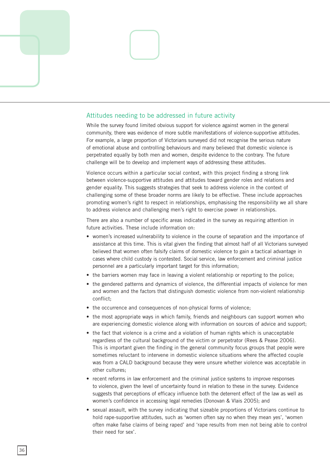

#### Attitudes needing to be addressed in future activity

While the survey found limited obvious support for violence against women in the general community, there was evidence of more subtle manifestations of violence-supportive attitudes. For example, a large proportion of Victorians surveyed did not recognise the serious nature of emotional abuse and controlling behaviours and many believed that domestic violence is perpetrated equally by both men and women, despite evidence to the contrary. The future challenge will be to develop and implement ways of addressing these attitudes.

Violence occurs within a particular social context, with this project finding a strong link between violence-supportive attitudes and attitudes toward gender roles and relations and gender equality. This suggests strategies that seek to address violence in the context of challenging some of these broader norms are likely to be effective. These include approaches promoting women's right to respect in relationships, emphasising the responsibility we all share to address violence and challenging men's right to exercise power in relationships.

There are also a number of specific areas indicated in the survey as requiring attention in future activities. These include information on:

- women's increased vulnerability to violence in the course of separation and the importance of assistance at this time. This is vital given the finding that almost half of all Victorians surveyed believed that women often falsify claims of domestic violence to gain a tactical advantage in cases where child custody is contested. Social service, law enforcement and criminal justice personnel are a particularly important target for this information;
- the barriers women may face in leaving a violent relationship or reporting to the police;
- the gendered patterns and dynamics of violence, the differential impacts of violence for men and women and the factors that distinguish domestic violence from non-violent relationship conflict;
- the occurrence and consequences of non-physical forms of violence:
- the most appropriate ways in which family, friends and neighbours can support women who are experiencing domestic violence along with information on sources of advice and support;
- the fact that violence is a crime and a violation of human rights which is unacceptable regardless of the cultural background of the victim or perpetrator (Rees & Pease 2006). This is important given the finding in the general community focus groups that people were sometimes reluctant to intervene in domestic violence situations where the affected couple was from a CALD background because they were unsure whether violence was acceptable in other cultures;
- recent reforms in law enforcement and the criminal justice systems to improve responses to violence, given the level of uncertainty found in relation to these in the survey. Evidence suggests that perceptions of efficacy influence both the deterrent effect of the law as well as women's confidence in accessing legal remedies (Donovan & Vlais 2005); and
- sexual assault, with the survey indicating that sizeable proportions of Victorians continue to hold rape-supportive attitudes, such as 'women often say no when they mean yes', 'women often make false claims of being raped' and 'rape results from men not being able to control their need for sex'.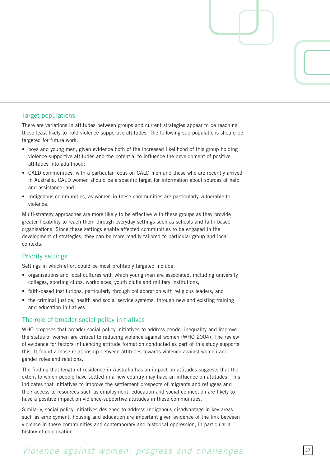#### Target populations

There are variations in attitudes between groups and current strategies appear to be reaching those least likely to hold violence-supportive attitudes. The following sub-populations should be targeted for future work:

- boys and young men, given evidence both of the increased likelihood of this group holding violence-supportive attitudes and the potential to influence the development of positive attitudes into adulthood;
- CALD communities, with a particular focus on CALD men and those who are recently arrived in Australia. CALD women should be a specific target for information about sources of help and assistance; and
- Indigenous communities, as women in these communities are particularly vulnerable to violence.

Multi-strategy approaches are more likely to be effective with these groups as they provide greater flexibility to reach them through everyday settings such as schools and faith-based organisations. Since these settings enable affected communities to be engaged in the development of strategies, they can be more readily tailored to particular group and local contexts.

#### Priority settings

Settings in which effort could be most profitably targeted include:

- organisations and local cultures with which young men are associated, including university colleges, sporting clubs, workplaces, youth clubs and military institutions;
- faith-based institutions, particularly through collaboration with religious leaders; and
- the criminal justice, health and social service systems, through new and existing training and education initiatives.

#### The role of broader social policy initiatives

WHO proposes that broader social policy initiatives to address gender inequality and improve the status of women are critical to reducing violence against women (WHO 2004). The review of evidence for factors influencing attitude formation conducted as part of this study supports this. It found a close relationship between attitudes towards violence against women and gender roles and relations.

The finding that length of residence in Australia has an impact on attitudes suggests that the extent to which people have settled in a new country may have an influence on attitudes. This indicates that initiatives to improve the settlement prospects of migrants and refugees and their access to resources such as employment, education and social connection are likely to have a positive impact on violence-supportive attitudes in these communities.

Similarly, social policy initiatives designed to address Indigenous disadvantage in key areas such as employment, housing and education are important given evidence of the link between violence in these communities and contemporary and historical oppression, in particular a history of colonisation.

### *Violence against women: progress and challenges*  $\frac{37}{2}$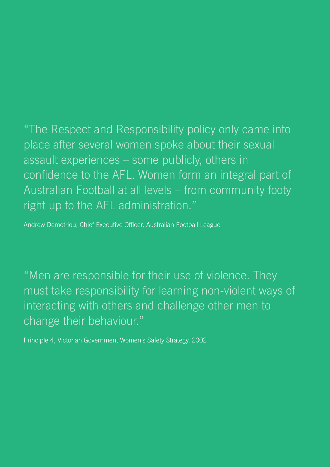"The Respect and Responsibility policy only came into place after several women spoke about their sexual assault experiences – some publicly, others in confidence to the AFL. Women form an integral part of Australian Football at all levels – from community footy right up to the AFL administration."

Andrew Demetriou, Chief Executive Officer, Australian Football League

"Men are responsible for their use of violence. They must take responsibility for learning non-violent ways of interacting with others and challenge other men to change their behaviour."

Principle 4, Victorian Government Women's Safety Strategy, 2002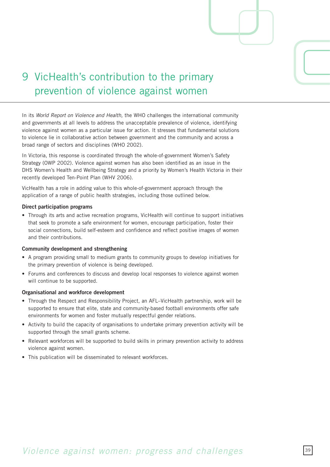

# 9 VicHealth's contribution to the primary prevention of violence against women

In its *World Report on Violence and Health,* the WHO challenges the international community and governments at all levels to address the unacceptable prevalence of violence, identifying violence against women as a particular issue for action. It stresses that fundamental solutions to violence lie in collaborative action between government and the community and across a broad range of sectors and disciplines (WHO 2002).

In Victoria, this response is coordinated through the whole-of-government Women's Safety Strategy (OWP 2002). Violence against women has also been identified as an issue in the DHS Women's Health and Wellbeing Strategy and a priority by Women's Health Victoria in their recently developed Ten-Point Plan (WHV 2006).

VicHealth has a role in adding value to this whole-of-government approach through the application of a range of public health strategies, including those outlined below.

#### **Direct participation programs**

• Through its arts and active recreation programs, VicHealth will continue to support initiatives that seek to promote a safe environment for women, encourage participation, foster their social connections, build self-esteem and confidence and reflect positive images of women and their contributions.

#### **Community development and strengthening**

- A program providing small to medium grants to community groups to develop initiatives for the primary prevention of violence is being developed.
- Forums and conferences to discuss and develop local responses to violence against women will continue to be supported.

#### **Organisational and workforce development**

- Through the Respect and Responsibility Project, an AFL–VicHealth partnership, work will be supported to ensure that elite, state and community-based football environments offer safe environments for women and foster mutually respectful gender relations.
- Activity to build the capacity of organisations to undertake primary prevention activity will be supported through the small grants scheme.
- Relevant workforces will be supported to build skills in primary prevention activity to address violence against women.
- This publication will be disseminated to relevant workforces.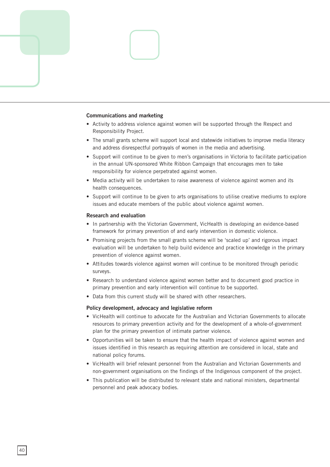

#### **Communications and marketing**

- Activity to address violence against women will be supported through the Respect and Responsibility Project.
- The small grants scheme will support local and statewide initiatives to improve media literacy and address disrespectful portrayals of women in the media and advertising.
- Support will continue to be given to men's organisations in Victoria to facilitate participation in the annual UN-sponsored White Ribbon Campaign that encourages men to take responsibility for violence perpetrated against women.
- Media activity will be undertaken to raise awareness of violence against women and its health consequences.
- Support will continue to be given to arts organisations to utilise creative mediums to explore issues and educate members of the public about violence against women.

#### **Research and evaluation**

- In partnership with the Victorian Government, VicHealth is developing an evidence-based framework for primary prevention of and early intervention in domestic violence.
- Promising projects from the small grants scheme will be 'scaled up' and rigorous impact evaluation will be undertaken to help build evidence and practice knowledge in the primary prevention of violence against women.
- Attitudes towards violence against women will continue to be monitored through periodic surveys.
- Research to understand violence against women better and to document good practice in primary prevention and early intervention will continue to be supported.
- Data from this current study will be shared with other researchers.

#### **Policy development, advocacy and legislative reform**

- VicHealth will continue to advocate for the Australian and Victorian Governments to allocate resources to primary prevention activity and for the development of a whole-of-government plan for the primary prevention of intimate partner violence.
- Opportunities will be taken to ensure that the health impact of violence against women and issues identified in this research as requiring attention are considered in local, state and national policy forums.
- VicHealth will brief relevant personnel from the Australian and Victorian Governments and non-government organisations on the findings of the Indigenous component of the project.
- This publication will be distributed to relevant state and national ministers, departmental personnel and peak advocacy bodies.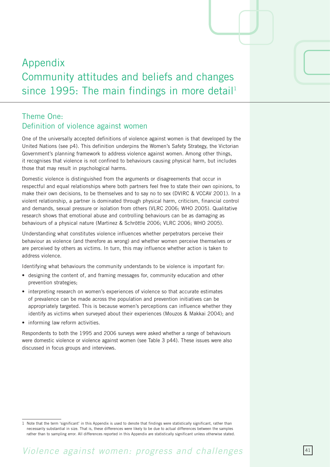# Appendix Community attitudes and beliefs and changes since 1995: The main findings in more detail<sup>1</sup>

### Theme One: Definition of violence against women

One of the universally accepted definitions of violence against women is that developed by the United Nations (see p4). This definition underpins the Women's Safety Strategy, the Victorian Government's planning framework to address violence against women. Among other things, it recognises that violence is not confined to behaviours causing physical harm, but includes those that may result in psychological harms.

Domestic violence is distinguished from the arguments or disagreements that occur in respectful and equal relationships where both partners feel free to state their own opinions, to make their own decisions, to be themselves and to say no to sex (DVIRC & VCCAV 2001). In a violent relationship, a partner is dominated through physical harm, criticism, financial control and demands, sexual pressure or isolation from others (VLRC 2006; WHO 2005). Qualitative research shows that emotional abuse and controlling behaviours can be as damaging as behaviours of a physical nature (Martinez & Schröttle 2006; VLRC 2006; WHO 2005).

Understanding what constitutes violence influences whether perpetrators perceive their behaviour as violence (and therefore as wrong) and whether women perceive themselves or are perceived by others as victims. In turn, this may influence whether action is taken to address violence.

Identifying what behaviours the community understands to be violence is important for:

- designing the content of, and framing messages for, community education and other prevention strategies;
- interpreting research on women's experiences of violence so that accurate estimates of prevalence can be made across the population and prevention initiatives can be appropriately targeted. This is because women's perceptions can influence whether they identify as victims when surveyed about their experiences (Mouzos & Makkai 2004); and
- informing law reform activities.

Respondents to both the 1995 and 2006 surveys were asked whether a range of behaviours were domestic violence or violence against women (see Table 3 p44). These issues were also discussed in focus groups and interviews.

<sup>1</sup> Note that the term 'significant' in this Appendix is used to denote that findings were statistically significant, rather than necessarily substantial in size. That is, these differences were likely to be due to actual differences between the samples rather than to sampling error. All differences reported in this Appendix are statistically significant unless otherwise stated.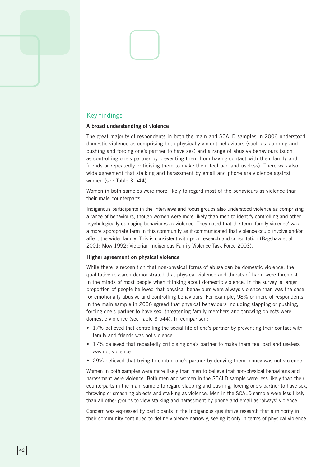#### Key findings

#### **A broad understanding of violence**

The great majority of respondents in both the main and SCALD samples in 2006 understood domestic violence as comprising both physically violent behaviours (such as slapping and pushing and forcing one's partner to have sex) and a range of abusive behaviours (such as controlling one's partner by preventing them from having contact with their family and friends or repeatedly criticising them to make them feel bad and useless). There was also wide agreement that stalking and harassment by email and phone are violence against women (see Table 3 p44).

Women in both samples were more likely to regard most of the behaviours as violence than their male counterparts.

Indigenous participants in the interviews and focus groups also understood violence as comprising a range of behaviours, though women were more likely than men to identify controlling and other psychologically damaging behaviours as violence. They noted that the term 'family violence' was a more appropriate term in this community as it communicated that violence could involve and/or affect the wider family. This is consistent with prior research and consultation (Bagshaw et al. 2001; Mow 1992; Victorian Indigenous Family Violence Task Force 2003).

#### **Higher agreement on physical violence**

While there is recognition that non-physical forms of abuse can be domestic violence, the qualitative research demonstrated that physical violence and threats of harm were foremost in the minds of most people when thinking about domestic violence. In the survey, a larger proportion of people believed that physical behaviours were always violence than was the case for emotionally abusive and controlling behaviours. For example, 98% or more of respondents in the main sample in 2006 agreed that physical behaviours including slapping or pushing, forcing one's partner to have sex, threatening family members and throwing objects were domestic violence (see Table 3 p44). In comparison:

- 17% believed that controlling the social life of one's partner by preventing their contact with family and friends was not violence.
- 17% believed that repeatedly criticising one's partner to make them feel bad and useless was not violence.
- 29% believed that trying to control one's partner by denying them money was not violence.

Women in both samples were more likely than men to believe that non-physical behaviours and harassment were violence. Both men and women in the SCALD sample were less likely than their counterparts in the main sample to regard slapping and pushing, forcing one's partner to have sex, throwing or smashing objects and stalking as violence. Men in the SCALD sample were less likely than all other groups to view stalking and harassment by phone and email as 'always' violence.

Concern was expressed by participants in the Indigenous qualitative research that a minority in their community continued to define violence narrowly, seeing it only in terms of physical violence.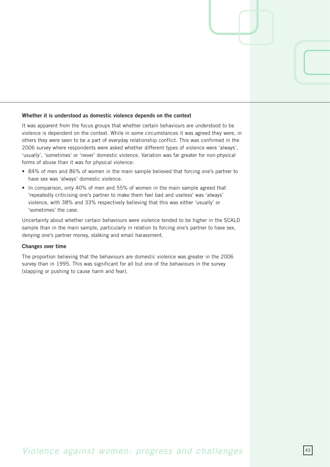#### **Whether it is understood as domestic violence depends on the context**

It was apparent from the focus groups that whether certain behaviours are understood to be violence is dependent on the context. While in some circumstances it was agreed they were, in others they were seen to be a part of everyday relationship conflict. This was confirmed in the 006 survey where respondents were asked whether different types of violence were 'always', 'usually', 'sometimes' or 'never' domestic violence. Variation was far greater for non-physical forms of abuse than it was for physical violence:

- 84% of men and 86% of women in the main sample believed that forcing one's partner to have sex was 'always' domestic violence.
- In comparison, only 40% of men and 55% of women in the main sample agreed that 'repeatedly criticising one's partner to make them feel bad and useless' was 'always' violence, with 38% and 33% respectively believing that this was either 'usually' or 'sometimes' the case.

Uncertainty about whether certain behaviours were violence tended to be higher in the SCALD sample than in the main sample, particularly in relation to forcing one's partner to have sex, denying one's partner money, stalking and email harassment.

#### **Changes over time**

The proportion believing that the behaviours are domestic violence was greater in the 2006 survey than in 1995. This was significant for all but one of the behaviours in the survey (slapping or pushing to cause harm and fear).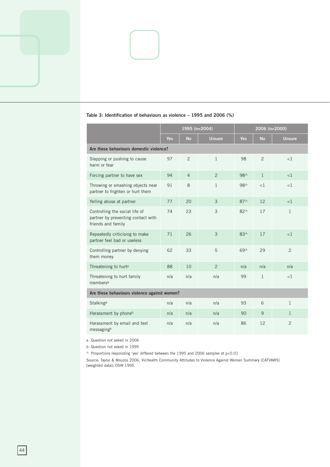|                                                                                            |            | 1995 (n=2004)  |                |               | 2006 (n=2000) |                |  |  |  |  |
|--------------------------------------------------------------------------------------------|------------|----------------|----------------|---------------|---------------|----------------|--|--|--|--|
|                                                                                            | <b>Yes</b> | <b>No</b>      | <b>Unsure</b>  | <b>Yes</b>    | <b>No</b>     | <b>Unsure</b>  |  |  |  |  |
| Are these behaviours domestic violence?                                                    |            |                |                |               |               |                |  |  |  |  |
| Slapping or pushing to cause<br>harm or fear                                               | 97         | $\overline{2}$ | $\mathbf{1}$   | 98            | 2             | <1             |  |  |  |  |
| Forcing partner to have sex                                                                | 94         | $\overline{4}$ | $\overline{2}$ | 98^           | $\mathbf{1}$  | $\leq$ 1       |  |  |  |  |
| Throwing or smashing objects near<br>partner to frighten or hurt them                      | 91         | 8              | $\mathbf{1}$   | 98^           | <1            | <1             |  |  |  |  |
| Yelling abuse at partner                                                                   | 77         | 20             | 3              | $87^$         | 12            | <1             |  |  |  |  |
| Controlling the social life of<br>partner by preventing contact with<br>friends and family | 74         | 23             | 3              | $82^{\wedge}$ | 17            | 1              |  |  |  |  |
| Repeatedly criticising to make<br>partner feel bad or useless                              | 71         | 26             | 3              | 83^           | 17            | <1             |  |  |  |  |
| Controlling partner by denying<br>them money                                               | 62         | 33             | 5              | 69^           | 29            | $\overline{c}$ |  |  |  |  |
| Threatening to hurt <sup>a</sup>                                                           | 88         | 10             | $\overline{2}$ | n/a           | n/a           | n/a            |  |  |  |  |
| Threatening to hurt family<br>membersb                                                     | n/a        | n/a            | n/a            | 99            | $\mathbf{1}$  | <1             |  |  |  |  |
| Are these behaviours violence against women?                                               |            |                |                |               |               |                |  |  |  |  |
| Stalkingb                                                                                  | n/a        | n/a            | n/a            | 93            | 6             | $\mathbf{1}$   |  |  |  |  |
| Harassment by phoneb                                                                       | n/a        | n/a            | n/a            | 90            | 9             | $\mathbf{1}$   |  |  |  |  |
| Harassment by email and text<br>messagingb                                                 | n/a        | n/a            | n/a            | 86            | 12            | $\overline{2}$ |  |  |  |  |

#### **Table 3: Identification of behaviours as violence – 1995 and 2006 (%)**

a Question not asked in 2006

b Question not asked in 1995

 $\land$  Proportions responding 'yes' differed between the 1995 and 2006 samples at p<0.01

Source: Taylor & Mouzos 006, VicHealth Community Attitudes to Violence Against Women Summary (CATVAWS) [weighted data]; OSW 1995.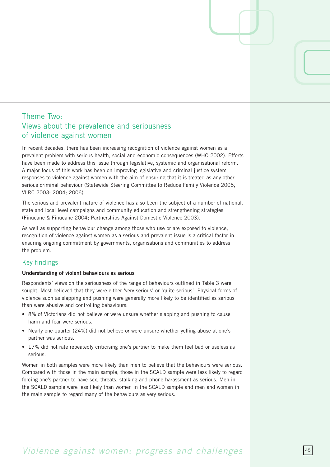### Theme Two: Views about the prevalence and seriousness of violence against women

In recent decades, there has been increasing recognition of violence against women as a prevalent problem with serious health, social and economic consequences (WHO 2002). Efforts have been made to address this issue through legislative, systemic and organisational reform. A major focus of this work has been on improving legislative and criminal justice system responses to violence against women with the aim of ensuring that it is treated as any other serious criminal behaviour (Statewide Steering Committee to Reduce Family Violence 2005; VLRC 2003: 2004: 2006).

The serious and prevalent nature of violence has also been the subject of a number of national, state and local level campaigns and community education and strengthening strategies (Finucane & Finucane 2004; Partnerships Against Domestic Violence 2003).

As well as supporting behaviour change among those who use or are exposed to violence, recognition of violence against women as a serious and prevalent issue is a critical factor in ensuring ongoing commitment by governments, organisations and communities to address the problem.

### Key findings

#### **Understanding of violent behaviours as serious**

Respondents' views on the seriousness of the range of behaviours outlined in Table 3 were sought. Most believed that they were either 'very serious' or 'quite serious'. Physical forms of violence such as slapping and pushing were generally more likely to be identified as serious than were abusive and controlling behaviours:

- 8% of Victorians did not believe or were unsure whether slapping and pushing to cause harm and fear were serious.
- Nearly one-quarter (24%) did not believe or were unsure whether yelling abuse at one's partner was serious.
- 17% did not rate repeatedly criticising one's partner to make them feel bad or useless as serious.

Women in both samples were more likely than men to believe that the behaviours were serious. Compared with those in the main sample, those in the SCALD sample were less likely to regard forcing one's partner to have sex, threats, stalking and phone harassment as serious. Men in the SCALD sample were less likely than women in the SCALD sample and men and women in the main sample to regard many of the behaviours as very serious.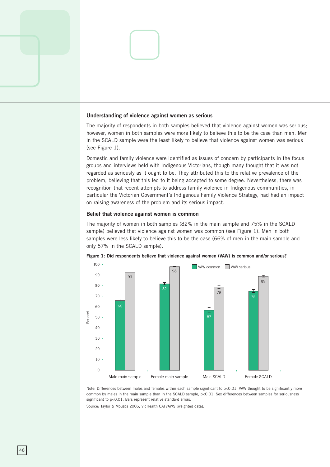#### **Understanding of violence against women as serious**

The majority of respondents in both samples believed that violence against women was serious; however, women in both samples were more likely to believe this to be the case than men. Men in the SCALD sample were the least likely to believe that violence against women was serious (see Figure 1).

Domestic and family violence were identified as issues of concern by participants in the focus groups and interviews held with Indigenous Victorians, though many thought that it was not regarded as seriously as it ought to be. They attributed this to the relative prevalence of the problem, believing that this led to it being accepted to some degree. Nevertheless, there was recognition that recent attempts to address family violence in Indigenous communities, in particular the Victorian Government's Indigenous Family Violence Strategy, had had an impact on raising awareness of the problem and its serious impact.

#### **Belief that violence against women is common**

The majority of women in both samples (82% in the main sample and 75% in the SCALD sample) believed that violence against women was common (see Figure 1). Men in both samples were less likely to believe this to be the case (66% of men in the main sample and only 57% in the SCALD sample).



**Figure 1: Did respondents believe that violence against women (VAW) is common and/or serious?** 

Note: Differences between males and females within each sample significant to p<0.01. VAW thought to be significantly more common by males in the main sample than in the SCALD sample, p<0.01. Sex differences between samples for seriousness significant to p<0.01. Bars represent relative standard errors.

Source: Taylor & Mouzos 2006, VicHealth CATVAWS [weighted data].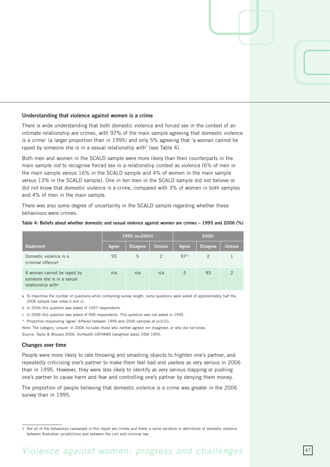#### **Understanding that violence against women is a crime**

There is wide understanding that both domestic violence and forced sex in the context of an intimate relationship are crimes, with 97% of the main sample agreeing that domestic violence is a crime<sup>1</sup> (a larger proportion than in 1995) and only 5% agreeing that 'a woman cannot be raped by someone she is in a sexual relationship with' (see Table 4).

Both men and women in the SCALD sample were more likely than their counterparts in the main sample *not* to recognise forced sex in a relationship context as violence (6% of men in the main sample versus 16% in the SCALD sample and 4% of women in the main sample versus 13% in the SCALD sample). One in ten men in the SCALD sample did not believe or did not know that domestic violence is a crime, compared with 3% of women in both samples and 4% of men in the main sample.

There was also some degree of uncertainty in the SCALD sample regarding whether these behaviours were crimes.

#### **Table 4: Beliefs about whether domestic and sexual violence against women are crimes – 1995 and 2006 (%)**

|                                                                                            |       | 1995 (n=2004)   |               | 2006 <sup>a</sup> |                 |                |  |
|--------------------------------------------------------------------------------------------|-------|-----------------|---------------|-------------------|-----------------|----------------|--|
| <b>Statement</b>                                                                           | Agree | <b>Disagree</b> | <b>Unsure</b> | Agree             | <b>Disagree</b> | <b>Unsure</b>  |  |
| Domestic violence is a<br>criminal offenceb                                                | 93    | 5               | $\mathcal{P}$ | 97 <sub>0</sub>   | 2               |                |  |
| A woman cannot be raped by<br>someone she is in a sexual<br>relationship with <sup>c</sup> | n/a   | n/a             | n/a           | 5                 | 93              | $\mathfrak{D}$ |  |

a To maximise the number of questions while containing survey length, some questions were asked of approximately half the 2006 sample (see notes b and c).

b In 2006 this question was asked of 1007 respondents.

c In 006 this question was asked of 996 respondents. This question was not asked in 1995.

 $\land$  Proportion responding 'agree' differed between 1995 and 2006 samples at p<0.01.

Note: The category 'unsure' in 006 includes those who neither agreed nor disagreed, or who did not know. Source: Taylor & Mouzos 2006, VicHealth CATVAWS [weighted data]; OSW 1995.

#### **Changes over time**

People were more likely to rate throwing and smashing objects to frighten one's partner, and repeatedly criticising one's partner to make them feel bad and useless as very serious in 2006 than in 1995. However, they were *less likely* to identify as very serious slapping or pushing one's partner to cause harm and fear and controlling one's partner by denying them money.

The proportion of people believing that domestic violence is a crime was greater in the 2006 survey than in 1995.

<sup>1</sup> Not all of the behaviours canvassed in this report are crimes and there is some variation in definitions of domestic violence between Australian jurisdictions and between the civil and criminal law.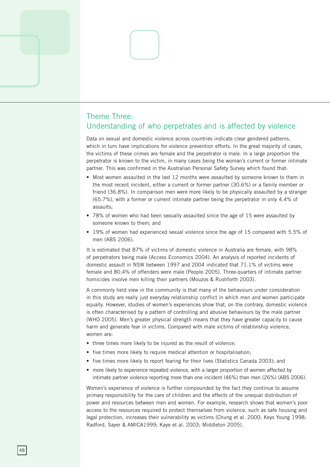### Theme Three: Understanding of who perpetrates and is affected by violence

Data on sexual and domestic violence across countries indicate clear gendered patterns, which in turn have implications for violence prevention efforts. In the great majority of cases, the victims of these crimes are female and the perpetrator is male. In a large proportion the perpetrator is known to the victim, in many cases being the woman's current or former intimate partner. This was confirmed in the Australian Personal Safety Survey which found that:

- Most women assaulted in the last 12 months were assaulted by someone known to them in the most recent incident, either a current or former partner (30.6%) or a family member or friend (36.8%). In comparison men were more likely to be physically assaulted by a stranger (65.7%), with a former or current intimate partner being the perpetrator in only 4.4% of assaults;
- 78% of women who had been sexually assaulted since the age of 15 were assaulted by someone known to them; and
- 19% of women had experienced sexual violence since the age of 15 compared with 5.5% of men (ABS 2006).

It is estimated that 87% of victims of domestic violence in Australia are female, with 98% of perpetrators being male (Access Economics 004). An analysis of reported incidents of domestic assault in NSW between 1997 and 2004 indicated that 71.1% of victims were female and 80.4% of offenders were male (People 2005). Three-quarters of intimate partner homicides involve men killing their partners (Mouzos & Rushforth 2003).

A commonly held view in the community is that many of the behaviours under consideration in this study are really just everyday relationship conflict in which men and women participate equally. However, studies of women's experiences show that, on the contrary, domestic violence is often characterised by a pattern of controlling and abusive behaviours by the male partner (WHO 2005). Men's greater physical strength means that they have greater capacity to cause harm and generate fear in victims. Compared with male victims of relationship violence, women are:

- three times more likely to be injured as the result of violence;
- five times more likely to require medical attention or hospitalisation;
- five times more likely to report fearing for their lives (Statistics Canada 2003); and
- more likely to experience repeated violence, with a larger proportion of women affected by intimate partner violence reporting more than one incident  $(46%)$  than men  $(26%)$  (ABS 2006).

Women's experience of violence is further compounded by the fact they continue to assume primary responsibility for the care of children and the effects of the unequal distribution of power and resources between men and women. For example, research shows that women's poor access to the resources required to protect themselves from violence, such as safe housing and legal protection, increases their vulnerability as victims (Chung et al. 2000; Keys Young 1998; Radford, Sayer & AMICA1999; Kaye et al. 2003; Middleton 2005).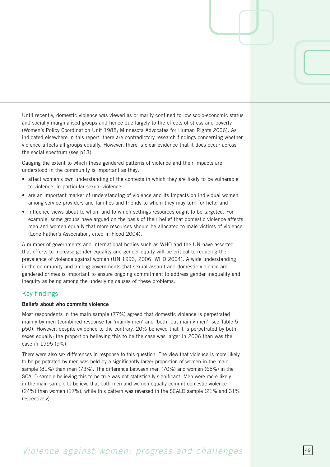Until recently, domestic violence was viewed as primarily confined to low socio-economic status and socially marginalised groups and hence due largely to the effects of stress and poverty (Women's Policy Coordination Unit 1985; Minnesota Advocates for Human Rights 2006). As indicated elsewhere in this report, there are contradictory research findings concerning whether violence affects all groups equally. However, there is clear evidence that it does occur across the social spectrum (see  $p13$ ).

Gauging the extent to which these gendered patterns of violence and their impacts are understood in the community is important as they:

- affect women's own understanding of the contexts in which they are likely to be vulnerable to violence, in particular sexual violence;
- are an important marker of understanding of violence and its impacts on individual women among service providers and families and friends to whom they may turn for help; and
- influence views about to whom and to which settings resources ought to be targeted. For example, some groups have argued on the basis of their belief that domestic violence affects men and women equally that more resources should be allocated to male victims of violence (Lone Father's Association, cited in Flood 2004).

A number of governments and international bodies such as WHO and the UN have asserted that efforts to increase gender equality and gender equity will be critical to reducing the prevalence of violence against women (UN 1993, 2006; WHO 2004). A wide understanding in the community and among governments that sexual assault and domestic violence are gendered crimes is important to ensure ongoing commitment to address gender inequality and inequity as being among the underlying causes of these problems.

#### Key findings

#### **Beliefs about who commits violence**

Most respondents in the main sample (77%) agreed that domestic violence is perpetrated mainly by men (combined response for 'mainly men' and 'both, but mainly men', see Table 5 p50). However, despite evidence to the contrary, 20% believed that it is perpetrated by both sexes equally; the proportion believing this to be the case was larger in 2006 than was the case in 1995 (9%).

There were also sex differences in response to this question. The view that violence is more likely to be perpetrated by men was held by a significantly larger proportion of women in the main sample  $(81%)$  than men (73%). The difference between men (70%) and women (65%) in the SCALD sample believing this to be true was not statistically significant. Men were more likely in the main sample to believe that both men and women equally commit domestic violence (24%) than women (17%), while this pattern was reversed in the SCALD sample (21% and 31% respectively).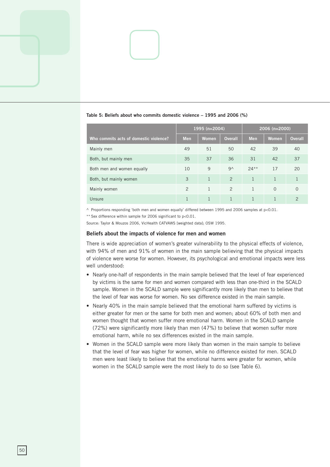|                                        |                | 1995 (n=2004) |                | 2006 (n=2000)  |              |                |  |
|----------------------------------------|----------------|---------------|----------------|----------------|--------------|----------------|--|
| Who commits acts of domestic violence? | <b>Men</b>     | Women         | <b>Overall</b> | <b>Men</b>     | <b>Women</b> | <b>Overall</b> |  |
| Mainly men                             | 49             | 51            | 50             | 42             | 39           | 40             |  |
| Both, but mainly men                   | 35             | 37            | 36             | 31             | 42           | 37             |  |
| Both men and women equally             | 10             | 9             | 9 <sub>0</sub> | $24**$         | 17           | 20             |  |
| Both, but mainly women                 | 3              | $\mathbf{1}$  | $\overline{2}$ | $\mathbf{1}$   | 1            |                |  |
| Mainly women                           | $\overline{2}$ | $\mathbf{1}$  | $\overline{2}$ | $\overline{1}$ | $\Omega$     | $\Omega$       |  |
| Unsure                                 | 1              |               |                |                |              | $\mathcal{P}$  |  |

#### **Table 5: Beliefs about who commits domestic violence – 1995 and 2006 (%)**

 $\land$  Proportions responding 'both men and women equally' differed between 1995 and 2006 samples at p<0.01.

\*\* Sex difference within sample for 2006 significant to p<0.01.

Source: Taylor & Mouzos 2006, VicHealth CATVAWS [weighted data]; OSW 1995.

#### **Beliefs about the impacts of violence for men and women**

There is wide appreciation of women's greater vulnerability to the physical effects of violence, with 94% of men and 91% of women in the main sample believing that the physical impacts of violence were worse for women. However, its psychological and emotional impacts were less well understood:

- Nearly one-half of respondents in the main sample believed that the level of fear experienced by victims is the same for men and women compared with less than one-third in the SCALD sample. Women in the SCALD sample were significantly more likely than men to believe that the level of fear was worse for women. No sex difference existed in the main sample.
- Nearly 40% in the main sample believed that the emotional harm suffered by victims is either greater for men or the same for both men and women; about 60% of both men and women thought that women suffer more emotional harm. Women in the SCALD sample (72%) were significantly more likely than men (47%) to believe that women suffer more emotional harm, while no sex differences existed in the main sample.
- Women in the SCALD sample were more likely than women in the main sample to believe that the level of fear was higher for women, while no difference existed for men. SCALD men were least likely to believe that the emotional harms were greater for women, while women in the SCALD sample were the most likely to do so (see Table 6).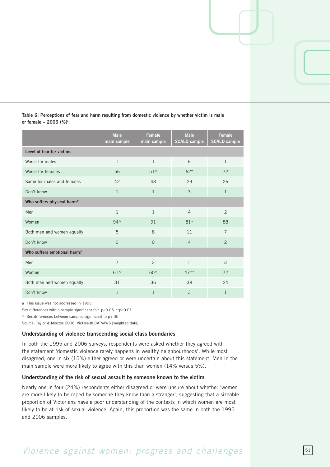| Table 6: Perceptions of fear and harm resulting from domestic violence by whether victim is male |  |  |  |  |  |
|--------------------------------------------------------------------------------------------------|--|--|--|--|--|
| or female - 2006 (%) <sup>a</sup>                                                                |  |  |  |  |  |

|                             | <b>Male</b><br>main sample | <b>Female</b><br>main sample | <b>Male</b><br><b>SCALD sample</b> | <b>Female</b><br><b>SCALD sample</b> |  |  |  |  |  |
|-----------------------------|----------------------------|------------------------------|------------------------------------|--------------------------------------|--|--|--|--|--|
| Level of fear for victims   |                            |                              |                                    |                                      |  |  |  |  |  |
| Worse for males             | $\mathbf{1}$               | 1                            | 6                                  | 1                                    |  |  |  |  |  |
| Worse for females           | 56                         | $51^$                        | $62*$                              | 72                                   |  |  |  |  |  |
| Same for males and females  | 42                         | 48                           | 29                                 | 26                                   |  |  |  |  |  |
| Don't know                  | $\mathbf{1}$               | $\mathbf{1}$                 | 3                                  | $\mathbf{1}$                         |  |  |  |  |  |
| Who suffers physical harm?  |                            |                              |                                    |                                      |  |  |  |  |  |
| Men                         | $\mathbf{1}$               | $\mathbf{1}$                 | $\overline{4}$                     | $\overline{2}$                       |  |  |  |  |  |
| Women                       | $94^$                      | 91                           | $81*$                              | 88                                   |  |  |  |  |  |
| Both men and women equally  | 5                          | 8                            | 11                                 | $\overline{7}$                       |  |  |  |  |  |
| Don't know                  | $\Omega$                   | $\overline{0}$               | $\overline{4}$                     | $\overline{2}$                       |  |  |  |  |  |
| Who suffers emotional harm? |                            |                              |                                    |                                      |  |  |  |  |  |
| Men                         | $\overline{7}$             | 3                            | 11                                 | 3                                    |  |  |  |  |  |
| Women                       | $61^$                      | $60^$                        | $47**$                             | 72                                   |  |  |  |  |  |
| Both men and women equally  | 31                         | 36                           | 39                                 | 24                                   |  |  |  |  |  |
| Don't know                  | 1                          | 1                            | 3                                  | 1                                    |  |  |  |  |  |

a This issue was not addressed in 1995.

Sex differences within sample significant to  $*$  p<0.05  $*$  $*$ p<0.01

 $\land$  Sex differences between samples significant to p<.05

Source: Taylor & Mouzos 2006, VicHealth CATVAWS [weighted data]

#### **Understanding of violence transcending social class boundaries**

In both the 1995 and 2006 surveys, respondents were asked whether they agreed with the statement 'domestic violence rarely happens in wealthy neighbourhoods'. While most disagreed, one in six (15%) either agreed or were uncertain about this statement. Men in the main sample were more likely to agree with this than women (14% versus 5%).

#### **Understanding of the risk of sexual assault by someone known to the victim**

Nearly one in four (24%) respondents either disagreed or were unsure about whether 'women are more likely to be raped by someone they know than a stranger', suggesting that a sizeable proportion of Victorians have a poor understanding of the contexts in which women are most likely to be at risk of sexual violence. Again, this proportion was the same in both the 1995 and 2006 samples.

### *Violence against women: progress and challenges*  $51$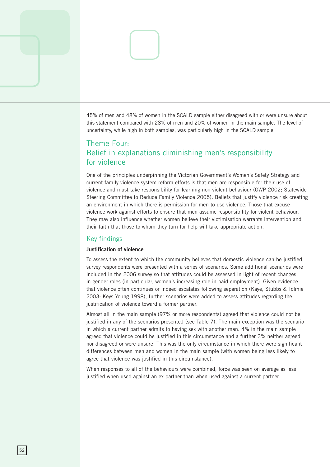45% of men and 48% of women in the SCALD sample either disagreed with or were unsure about this statement compared with 28% of men and 20% of women in the main sample. The level of uncertainty, while high in both samples, was particularly high in the SCALD sample.

### Theme Four: Belief in explanations diminishing men's responsibility for violence

One of the principles underpinning the Victorian Government's Women's Safety Strategy and current family violence system reform efforts is that men are responsible for their use of violence and must take responsibility for learning non-violent behaviour (OWP 2002; Statewide Steering Committee to Reduce Family Violence 2005). Beliefs that justify violence risk creating an environment in which there is permission for men to use violence. Those that excuse violence work against efforts to ensure that men assume responsibility for violent behaviour. They may also influence whether women believe their victimisation warrants intervention and their faith that those to whom they turn for help will take appropriate action.

#### Key findings

#### **Justification of violence**

To assess the extent to which the community believes that domestic violence can be justified, survey respondents were presented with a series of scenarios. Some additional scenarios were included in the 006 survey so that attitudes could be assessed in light of recent changes in gender roles (in particular, women's increasing role in paid employment). Given evidence that violence often continues or indeed escalates following separation (Kaye, Stubbs & Tolmie 2003; Keys Young 1998), further scenarios were added to assess attitudes regarding the justification of violence toward a former partner.

Almost all in the main sample (97% or more respondents) agreed that violence could not be justified in any of the scenarios presented (see Table 7). The main exception was the scenario in which a current partner admits to having sex with another man. 4% in the main sample agreed that violence could be justified in this circumstance and a further 3% neither agreed nor disagreed or were unsure. This was the only circumstance in which there were significant differences between men and women in the main sample (with women being less likely to agree that violence was justified in this circumstance).

When responses to all of the behaviours were combined, force was seen on average as less justified when used against an ex-partner than when used against a current partner.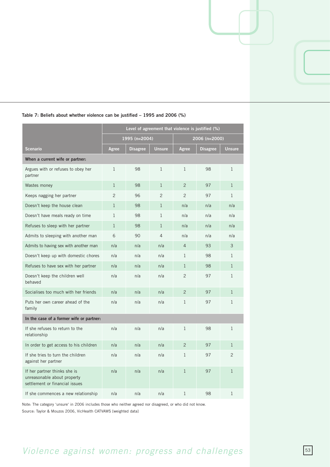|                                                                                               | Level of agreement that violence is justified (%) |                 |                |                |                 |                |
|-----------------------------------------------------------------------------------------------|---------------------------------------------------|-----------------|----------------|----------------|-----------------|----------------|
|                                                                                               |                                                   | 1995 (n=2004)   |                |                | 2006 (n=2000)   |                |
| <b>Scenario</b>                                                                               | Agree                                             | <b>Disagree</b> | <b>Unsure</b>  | Agree          | <b>Disagree</b> | <b>Unsure</b>  |
| When a current wife or partner:                                                               |                                                   |                 |                |                |                 |                |
| Argues with or refuses to obey her<br>partner                                                 | $\mathbf{1}$                                      | 98              | $\mathbf{1}$   | $\mathbf{1}$   | 98              | $\mathbf{1}$   |
| Wastes money                                                                                  | $\mathbf{1}$                                      | 98              | $\mathbf{1}$   | 2              | 97              | $\mathbf{1}$   |
| Keeps nagging her partner                                                                     | $\overline{2}$                                    | 96              | $\overline{2}$ | $\overline{c}$ | 97              | $\mathbf{1}$   |
| Doesn't keep the house clean                                                                  | $\mathbf{1}$                                      | 98              | $\mathbf{1}$   | n/a            | n/a             | n/a            |
| Doesn't have meals ready on time                                                              | $\mathbf{1}$                                      | 98              | $\mathbf{1}$   | n/a            | n/a             | n/a            |
| Refuses to sleep with her partner                                                             | $\mathbf{1}$                                      | 98              | $\mathbf{1}$   | n/a            | n/a             | n/a            |
| Admits to sleeping with another man                                                           | 6                                                 | 90              | $\overline{4}$ | n/a            | n/a             | n/a            |
| Admits to having sex with another man                                                         | n/a                                               | n/a             | n/a            | $\overline{4}$ | 93              | 3              |
| Doesn't keep up with domestic chores                                                          | n/a                                               | n/a             | n/a            | $\mathbf{1}$   | 98              | $\mathbf{1}$   |
| Refuses to have sex with her partner                                                          | n/a                                               | n/a             | n/a            | $\mathbf{1}$   | 98              | $\mathbf{1}$   |
| Doesn't keep the children well<br>behaved                                                     | n/a                                               | n/a             | n/a            | $\overline{2}$ | 97              | $\mathbf{1}$   |
| Socialises too much with her friends                                                          | n/a                                               | n/a             | n/a            | $\overline{2}$ | 97              | $\mathbf{1}$   |
| Puts her own career ahead of the<br>family                                                    | n/a                                               | n/a             | n/a            | $\mathbf{1}$   | 97              | $\mathbf{1}$   |
| In the case of a former wife or partner:                                                      |                                                   |                 |                |                |                 |                |
| If she refuses to return to the<br>relationship                                               | n/a                                               | n/a             | n/a            | $\mathbf{1}$   | 98              | $\mathbf{1}$   |
| In order to get access to his children                                                        | n/a                                               | n/a             | n/a            | $\overline{2}$ | 97              | $\mathbf{1}$   |
| If she tries to turn the children<br>against her partner                                      | n/a                                               | n/a             | n/a            | $\mathbf{1}$   | 97              | $\overline{2}$ |
| If her partner thinks she is<br>unreasonable about property<br>settlement or financial issues | n/a                                               | n/a             | n/a            | $\mathbf{1}$   | 97              | $\mathbf{1}$   |
| If she commences a new relationship                                                           | n/a                                               | n/a             | n/a            | 1              | 98              | 1              |

#### **Table 7: Beliefs about whether violence can be justified – 1995 and 2006 (%)**

Note: The category 'unsure' in 006 includes those who neither agreed nor disagreed, or who did not know. Source: Taylor & Mouzos 2006, VicHealth CATVAWS [weighted data]

# *Violence against women: progress and challenges* 53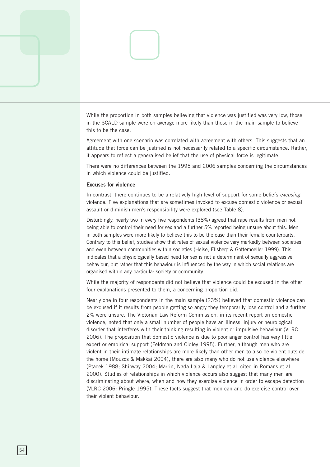

Agreement with one scenario was correlated with agreement with others. This suggests that an attitude that force can be justified is not necessarily related to a specific circumstance. Rather, it appears to reflect a generalised belief that the use of physical force is legitimate.

There were no differences between the 1995 and 2006 samples concerning the circumstances in which violence could be justified.

#### **Excuses for violence**

In contrast, there continues to be a relatively high level of support for some beliefs *excusing*  violence. Five explanations that are sometimes invoked to excuse domestic violence or sexual assault or diminish men's responsibility were explored (see Table 8).

Disturbingly, nearly two in every five respondents (8%) agreed that rape results from men not being able to control their need for sex and a further 5% reported being unsure about this. Men in both samples were more likely to believe this to be the case than their female counterparts. Contrary to this belief, studies show that rates of sexual violence vary markedly between societies and even between communities within societies (Heise, Ellsberg & Gottemoeller 1999). This indicates that a physiologically based need for sex is not a determinant of sexually aggressive behaviour, but rather that this behaviour is influenced by the way in which social relations are organised within any particular society or community.

While the majority of respondents did not believe that violence could be excused in the other four explanations presented to them, a concerning proportion did.

Nearly one in four respondents in the main sample (23%) believed that domestic violence can be excused if it results from people getting so angry they temporarily lose control and a further % were unsure. The Victorian Law Reform Commission, in its recent report on domestic violence, noted that only a small number of people have an illness, injury or neurological disorder that interferes with their thinking resulting in violent or impulsive behaviour (VLRC 006). The proposition that domestic violence is due to poor anger control has very little expert or empirical support (Feldman and Cidley 1995). Further, although men who are violent in their intimate relationships are more likely than other men to also be violent outside the home (Mouzos & Makkai 2004), there are also many who do not use violence elsewhere (Ptacek 1988; Shipway 2004; Marrin, Nada-Laja & Langley et al. cited in Romans et al. 2000). Studies of relationships in which violence occurs also suggest that many men are discriminating about where, when and how they exercise violence in order to escape detection (VLRC 2006; Pringle 1995). These facts suggest that men can and do exercise control over their violent behaviour.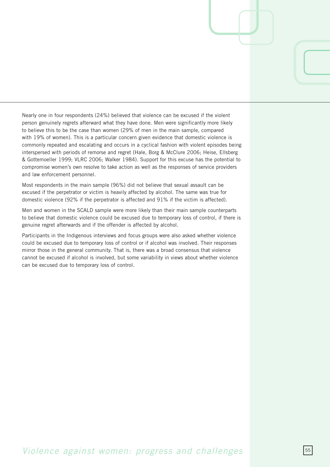Nearly one in four respondents (24%) believed that violence can be excused if the violent person genuinely regrets afterward what they have done. Men were significantly more likely to believe this to be the case than women (29% of men in the main sample, compared with 19% of women). This is a particular concern given evidence that domestic violence is commonly repeated and escalating and occurs in a cyclical fashion with violent episodes being interspersed with periods of remorse and regret (Hale, Borg & McClure 2006; Heise, Ellsberg & Gottemoeller 1999; VLRC 006; Walker 1984). Support for this excuse has the potential to compromise women's own resolve to take action as well as the responses of service providers and law enforcement personnel.

Most respondents in the main sample (96%) did not believe that sexual assault can be excused if the perpetrator or victim is heavily affected by alcohol. The same was true for domestic violence (92% if the perpetrator is affected and 91% if the victim is affected).

Men and women in the SCALD sample were more likely than their main sample counterparts to believe that domestic violence could be excused due to temporary loss of control, if there is genuine regret afterwards and if the offender is affected by alcohol.

Participants in the Indigenous interviews and focus groups were also asked whether violence could be excused due to temporary loss of control or if alcohol was involved. Their responses mirror those in the general community. That is, there was a broad consensus that violence cannot be excused if alcohol is involved, but some variability in views about whether violence can be excused due to temporary loss of control.

### *Violence against women: progress and challenges*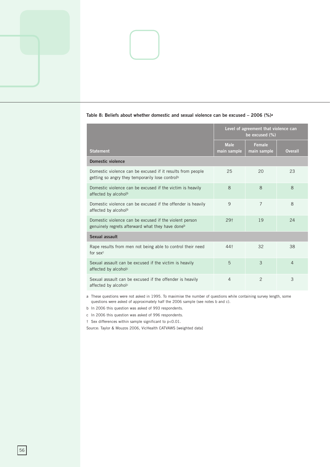|                                                                                                                           | Level of agreement that violence can<br>be excused (%) |                       |                |  |  |
|---------------------------------------------------------------------------------------------------------------------------|--------------------------------------------------------|-----------------------|----------------|--|--|
| <b>Statement</b>                                                                                                          | <b>Male</b><br>main sample                             | Female<br>main sample | <b>Overall</b> |  |  |
| Domestic violence                                                                                                         |                                                        |                       |                |  |  |
| Domestic violence can be excused if it results from people<br>getting so angry they temporarily lose control <sup>b</sup> | 25                                                     | 20                    | 23             |  |  |
| Domestic violence can be excused if the victim is heavily<br>affected by alcohol <sup>b</sup>                             | 8                                                      | $\mathcal{B}$         | $\mathcal{B}$  |  |  |
| Domestic violence can be excused if the offender is heavily<br>affected by alcohol <sup>b</sup>                           | 9                                                      | $\overline{7}$        | $\mathcal{B}$  |  |  |
| Domestic violence can be excused if the violent person<br>genuinely regrets afterward what they have done <sup>b</sup>    | 29†                                                    | 19                    | 24             |  |  |
| Sexual assault                                                                                                            |                                                        |                       |                |  |  |
| Rape results from men not being able to control their need<br>for sex <sup>c</sup>                                        | 44 <sup>†</sup>                                        | 32                    | 38             |  |  |
| Sexual assault can be excused if the victim is heavily<br>affected by alcohol <sup>c</sup>                                | 5                                                      | 3                     | $\overline{4}$ |  |  |
| Sexual assault can be excused if the offender is heavily<br>affected by alcohol <sup>c</sup>                              | $\overline{4}$                                         | 2                     | 3              |  |  |

#### **Table 8: Beliefs about whether domestic and sexual violence can be excused – 2006 (%)a**

a These questions were not asked in 1995. To maximise the number of questions while containing survey length, some questions were asked of approximately half the 2006 sample (see notes b and c).

b In 2006 this question was asked of 993 respondents.

c In 006 this question was asked of 996 respondents.

† Sex differences within sample significant to p<0.01.

Source: Taylor & Mouzos 2006, VicHealth CATVAWS [weighted data]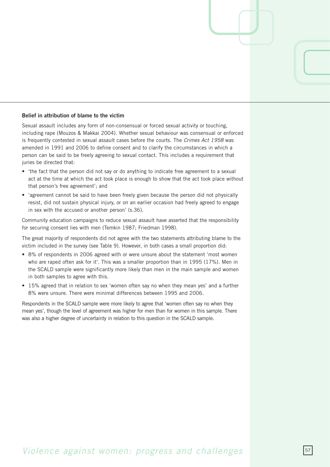#### **Belief in attribution of blame to the victim**

Sexual assault includes any form of non-consensual or forced sexual activity or touching, including rape (Mouzos & Makkai 2004). Whether sexual behaviour was consensual or enforced is frequently contested in sexual assault cases before the courts. The *Crimes Act 1958* was amended in 1991 and 2006 to define consent and to clarify the circumstances in which a person can be said to be freely agreeing to sexual contact. This includes a requirement that juries be directed that:

- 'the fact that the person did not say or do anything to indicate free agreement to a sexual act at the time at which the act took place is enough to show that the act took place without that person's free agreement'; and
- 'agreement cannot be said to have been freely given because the person did not physically resist, did not sustain physical injury, or on an earlier occasion had freely agreed to engage in sex with the accused or another person' (s.36).

Community education campaigns to reduce sexual assault have asserted that the responsibility for securing consent lies with men (Temkin 1987; Friedman 1998).

The great majority of respondents did not agree with the two statements attributing blame to the victim included in the survey (see Table 9). However, in both cases a small proportion did:

- 8% of respondents in 2006 agreed with or were unsure about the statement 'most women who are raped often ask for it'. This was a smaller proportion than in 1995 (17%). Men in the SCALD sample were significantly more likely than men in the main sample and women in both samples to agree with this.
- 15% agreed that in relation to sex 'women often say no when they mean yes' and a further 8% were unsure. There were minimal differences between 1995 and 2006.

Respondents in the SCALD sample were more likely to agree that 'women often say no when they mean yes', though the level of agreement was higher for men than for women in this sample. There was also a higher degree of uncertainty in relation to this question in the SCALD sample.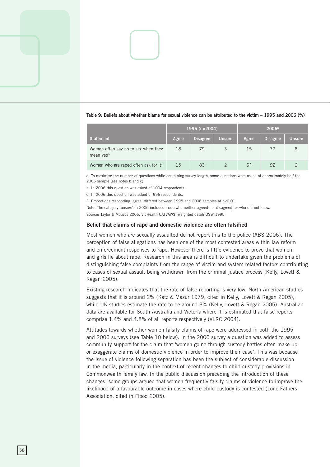|                                                              |       | 1995 (n=2004)   |               | 2006a        |                 |               |  |
|--------------------------------------------------------------|-------|-----------------|---------------|--------------|-----------------|---------------|--|
| Statement                                                    | Agree | <b>Disagree</b> | <b>Unsure</b> | Agree        | <b>Disagree</b> | <b>Unsure</b> |  |
| Women often say no to sex when they<br>mean yes <sup>b</sup> | 18    | 79              | 3             | 15           |                 | 8             |  |
| Women who are raped often ask for itc                        | 15    | 83              | $\mathcal{P}$ | $6^{\wedge}$ | 92              |               |  |

#### **Table 9: Beliefs about whether blame for sexual violence can be attributed to the victim – 1995 and 2006 (%)**

a To maximise the number of questions while containing survey length, some questions were asked of approximately half the 2006 sample (see notes b and c).

b In 2006 this question was asked of 1004 respondents.

c In 006 this question was asked of 996 respondents.

 $\land$  Proportions responding 'agree' differed between 1995 and 2006 samples at p<0.01.

Note: The category 'unsure' in 006 includes those who neither agreed nor disagreed, or who did not know. Source: Taylor & Mouzos 2006, VicHealth CATVAWS [weighted data]; OSW 1995.

#### **Belief that claims of rape and domestic violence are often falsified**

Most women who are sexually assaulted do not report this to the police (ABS 2006). The perception of false allegations has been one of the most contested areas within law reform and enforcement responses to rape. However there is little evidence to prove that women and girls lie about rape. Research in this area is difficult to undertake given the problems of distinguishing false complaints from the range of victim and system related factors contributing to cases of sexual assault being withdrawn from the criminal justice process (Kelly, Lovett & Regan 2005).

Existing research indicates that the rate of false reporting is very low. North American studies suggests that it is around 2% (Katz & Mazur 1979, cited in Kelly, Lovett & Regan 2005), while UK studies estimate the rate to be around 3% (Kelly, Lovett & Regan 2005). Australian data are available for South Australia and Victoria where it is estimated that false reports comprise 1.4% and 4.8% of all reports respectively (VLRC 2004).

Attitudes towards whether women falsify claims of rape were addressed in both the 1995 and 2006 surveys (see Table 10 below). In the 2006 survey a question was added to assess community support for the claim that 'women going through custody battles often make up or exaggerate claims of domestic violence in order to improve their case'. This was because the issue of violence following separation has been the subject of considerable discussion in the media, particularly in the context of recent changes to child custody provisions in Commonwealth family law. In the public discussion preceding the introduction of these changes, some groups argued that women frequently falsify claims of violence to improve the likelihood of a favourable outcome in cases where child custody is contested (Lone Fathers Association, cited in Flood 2005).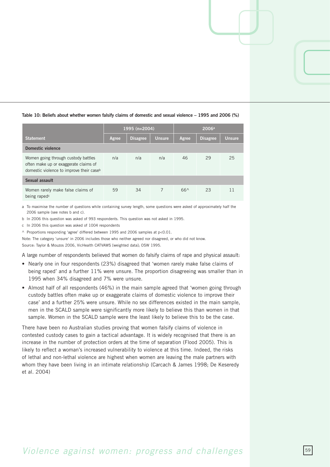|                                                                                                                                      | 1995 (n=2004) |                 |               | 2006a |                 |               |  |  |
|--------------------------------------------------------------------------------------------------------------------------------------|---------------|-----------------|---------------|-------|-----------------|---------------|--|--|
| <b>Statement</b>                                                                                                                     | Agree         | <b>Disagree</b> | <b>Unsure</b> | Agree | <b>Disagree</b> | <b>Unsure</b> |  |  |
| Domestic violence                                                                                                                    |               |                 |               |       |                 |               |  |  |
| Women going through custody battles<br>often make up or exaggerate claims of<br>domestic violence to improve their case <sup>b</sup> | n/a           | n/a             | n/a           | 46    | 29              | 25            |  |  |
| Sexual assault                                                                                                                       |               |                 |               |       |                 |               |  |  |
| Women rarely make false claims of<br>being raped <sup>c</sup>                                                                        | 59            | 34              |               | $66^$ | 23              | 11            |  |  |

#### **Table 10: Beliefs about whether women falsify claims of domestic and sexual violence – 1995 and 2006 (%)**

a To maximise the number of questions while containing survey length, some questions were asked of approximately half the 2006 sample (see notes b and c).

b In 2006 this question was asked of 993 respondents. This question was not asked in 1995.

c In 006 this question was asked of 1004 respondents

 $\land$  Proportions responding 'agree' differed between 1995 and 2006 samples at p<0.01.

Note: The category 'unsure' in 006 includes those who neither agreed nor disagreed, or who did not know. Source: Taylor & Mouzos 2006, VicHealth CATVAWS [weighted data]; OSW 1995.

A large number of respondents believed that women do falsify claims of rape and physical assault:

- Nearly one in four respondents (23%) disagreed that 'women rarely make false claims of being raped' and a further 11% were unsure. The proportion disagreeing was smaller than in 1995 when 34% disagreed and 7% were unsure.
- Almost half of all respondents (46%) in the main sample agreed that 'women going through custody battles often make up or exaggerate claims of domestic violence to improve their case' and a further 25% were unsure. While no sex differences existed in the main sample, men in the SCALD sample were significantly more likely to believe this than women in that sample. Women in the SCALD sample were the least likely to believe this to be the case.

There have been no Australian studies proving that women falsify claims of violence in contested custody cases to gain a tactical advantage. It is widely recognised that there is an increase in the number of protection orders at the time of separation (Flood 2005). This is likely to reflect a woman's increased vulnerability to violence at this time. Indeed, the risks of lethal and non-lethal violence are highest when women are leaving the male partners with whom they have been living in an intimate relationship (Carcach & James 1998; De Keseredy et al. 2004)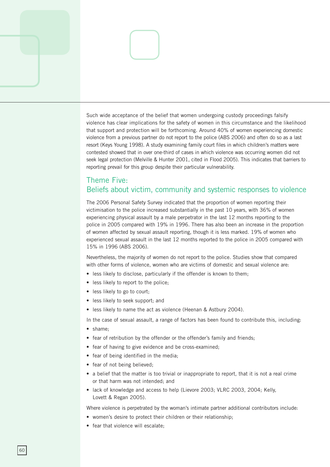Such wide acceptance of the belief that women undergoing custody proceedings falsify violence has clear implications for the safety of women in this circumstance and the likelihood that support and protection will be forthcoming. Around 40% of women experiencing domestic violence from a previous partner do not report to the police (ABS 2006) and often do so as a last resort (Keys Young 1998). A study examining family court files in which children's matters were contested showed that in over one-third of cases in which violence was occurring women did not seek legal protection (Melville & Hunter 2001, cited in Flood 2005). This indicates that barriers to reporting prevail for this group despite their particular vulnerability.

### Theme Five: Beliefs about victim, community and systemic responses to violence

The 2006 Personal Safety Survey indicated that the proportion of women reporting their victimisation to the police increased substantially in the past 10 years, with 36% of women experiencing physical assault by a male perpetrator in the last 12 months reporting to the police in 2005 compared with 19% in 1996. There has also been an increase in the proportion of women affected by sexual assault reporting, though it is less marked. 19% of women who experienced sexual assault in the last 12 months reported to the police in 2005 compared with 15% in 1996 (ABS 2006).

Nevertheless, the majority of women do not report to the police. Studies show that compared with other forms of violence, women who are victims of domestic and sexual violence are:

- less likely to disclose, particularly if the offender is known to them;
- less likely to report to the police;
- less likely to go to court;
- less likely to seek support; and
- less likely to name the act as violence (Heenan & Astbury 2004).

In the case of sexual assault, a range of factors has been found to contribute this, including:

- shame;
- fear of retribution by the offender or the offender's family and friends;
- fear of having to give evidence and be cross-examined;
- fear of being identified in the media;
- fear of not being believed;
- a belief that the matter is too trivial or inappropriate to report, that it is not a real crime or that harm was not intended; and
- lack of knowledge and access to help (Lievore 2003; VLRC 2003, 2004; Kelly, Lovett & Regan 2005).

Where violence is perpetrated by the woman's intimate partner additional contributors include:

- women's desire to protect their children or their relationship;
- fear that violence will escalate;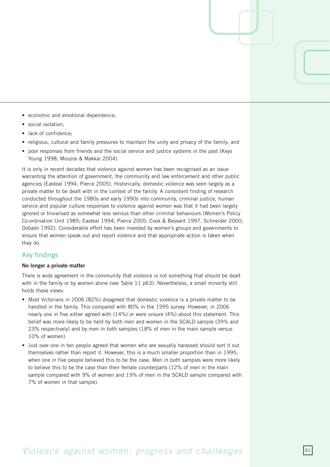- economic and emotional dependence;
- social isolation;
- lack of confidence;
- religious, cultural and family pressures to maintain the unity and privacy of the family; and
- poor responses from friends and the social service and justice systems in the past (Keys Young 1998; Mouzos & Makkai 2004).

It is only in recent decades that violence against women has been recognised as an issue warranting the attention of government, the community and law enforcement and other public agencies (Easteal 1994; Pierce 2005). Historically, domestic violence was seen largely as a private matter to be dealt with in the context of the family. A consistent finding of research conducted throughout the 1980s and early 1990s into community, criminal justice, human service and popular culture responses to violence against women was that it had been largely ignored or trivialised as somewhat less serious than other criminal behaviours (Women's Policy Co-ordination Unit 1985; Easteal 1994; Pierce 2005; Cook & Bessant 1997, Schneider 2000; Dobash 1992). Considerable effort has been invested by women's groups and governments to ensure that women speak out and report violence and that appropriate action is taken when they do.

### Key findings

#### **No longer a private matter**

There is wide agreement in the community that violence is not something that should be dealt with in the family or by women alone (see Table 11 p63). Nevertheless, a small minority still holds these views:

- Most Victorians in 2006 (82%) disagreed that domestic violence is a private matter to be handled in the family. This compared with 80% in the 1995 survey. However, in 2006 nearly one in five either agreed with (14%) or were unsure (4%) about this statement. This belief was more likely to be held by both men and women in the SCALD sample (39% and 23% respectively) and by men in both samples (18% of men in the main sample versus 10% of women).
- Just over one in ten people agreed that women who are sexually harassed should sort it out themselves rather than report it. However, this is a much smaller proportion than in 1995, when one in five people believed this to be the case. Men in both samples were more likely to believe this to be the case than their female counterparts (12% of men in the main sample compared with 9% of women and 19% of men in the SCALD sample compared with 7% of women in that sample).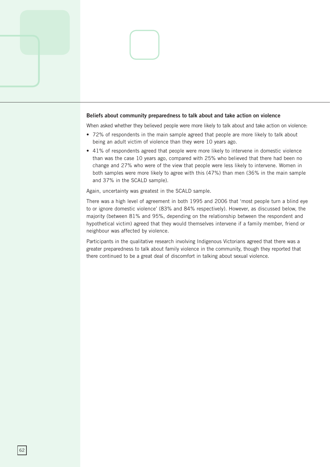#### **Beliefs about community preparedness to talk about and take action on violence**

When asked whether they believed people were more likely to talk about and take action on violence:

- 72% of respondents in the main sample agreed that people are more likely to talk about being an adult victim of violence than they were 10 years ago.
- 41% of respondents agreed that people were more likely to intervene in domestic violence than was the case 10 years ago, compared with 25% who believed that there had been no change and 27% who were of the view that people were less likely to intervene. Women in both samples were more likely to agree with this (47%) than men (36% in the main sample and 37% in the SCALD sample).

Again, uncertainty was greatest in the SCALD sample.

There was a high level of agreement in both 1995 and 2006 that 'most people turn a blind eye to or ignore domestic violence' (83% and 84% respectively). However, as discussed below, the majority (between 81% and 95%, depending on the relationship between the respondent and hypothetical victim) agreed that they would themselves intervene if a family member, friend or neighbour was affected by violence.

Participants in the qualitative research involving Indigenous Victorians agreed that there was a greater preparedness to talk about family violence in the community, though they reported that there continued to be a great deal of discomfort in talking about sexual violence.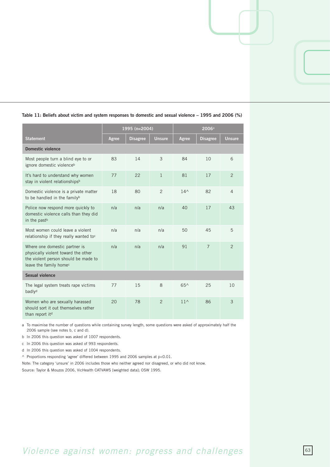|                                                                                                                                                    |       | 1995 (n=2004)   |                |               |                 |                |
|----------------------------------------------------------------------------------------------------------------------------------------------------|-------|-----------------|----------------|---------------|-----------------|----------------|
| <b>Statement</b>                                                                                                                                   | Agree | <b>Disagree</b> | <b>Unsure</b>  | Agree         | <b>Disagree</b> | <b>Unsure</b>  |
| <b>Domestic violence</b>                                                                                                                           |       |                 |                |               |                 |                |
| Most people turn a blind eye to or<br>ignore domestic violence <sup>b</sup>                                                                        | 83    | 14              | 3              | 84            | 10              | 6              |
| It's hard to understand why women<br>stay in violent relationshipsb                                                                                | 77    | 22              | $\mathbf{1}$   | 81            | 17              | $\overline{2}$ |
| Domestic violence is a private matter<br>to be handled in the familyb                                                                              | 18    | 80              | $\mathcal{P}$  | $14^$         | 82              | $\overline{4}$ |
| Police now respond more quickly to<br>domestic violence calls than they did<br>in the past <sup>b</sup>                                            | n/a   | n/a             | n/a            | 40            | 17              | 43             |
| Most women could leave a violent<br>relationship if they really wanted toc                                                                         | n/a   | n/a             | n/a            | 50            | 45              | 5              |
| Where one domestic partner is<br>physically violent toward the other<br>the violent person should be made to<br>leave the family home <sup>c</sup> | n/a   | n/a             | n/a            | 91            | $\overline{7}$  | 2              |
| Sexual violence                                                                                                                                    |       |                 |                |               |                 |                |
| The legal system treats rape victims<br>badlyd                                                                                                     | 77    | 15              | 8              | $65^$         | 25              | 10             |
| Women who are sexually harassed<br>should sort it out themselves rather<br>than report itd                                                         | 20    | 78              | $\overline{2}$ | $11^{\wedge}$ | 86              | 3              |

#### **Table 11: Beliefs about victim and system responses to domestic and sexual violence – 1995 and 2006 (%)**

a To maximise the number of questions while containing survey length, some questions were asked of approximately half the 2006 sample (see notes b, c and d).

b In 2006 this question was asked of 1007 respondents.

c In 2006 this question was asked of 993 respondents.

d In 006 this question was asked of 1004 respondents.

 $\land$  Proportions responding 'agree' differed between 1995 and 2006 samples at p<0.01.

Note: The category 'unsure' in 006 includes those who neither agreed nor disagreed, or who did not know.

Source: Taylor & Mouzos 2006, VicHealth CATVAWS [weighted data]; OSW 1995.

# *Violence against women: progress and challenges* **63**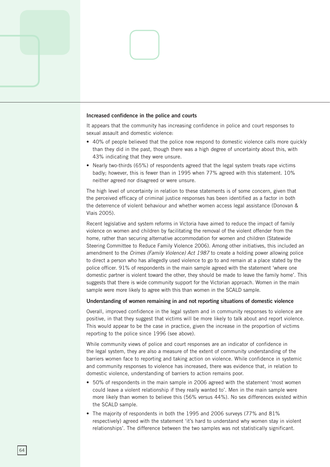#### **Increased confidence in the police and courts**

It appears that the community has increasing confidence in police and court responses to sexual assault and domestic violence:

- 40% of people believed that the police now respond to domestic violence calls more quickly than they did in the past, though there was a high degree of uncertainty about this, with 43% indicating that they were unsure.
- Nearly two-thirds (65%) of respondents agreed that the legal system treats rape victims badly; however, this is fewer than in 1995 when 77% agreed with this statement. 10% neither agreed nor disagreed or were unsure.

The high level of uncertainty in relation to these statements is of some concern, given that the perceived efficacy of criminal justice responses has been identified as a factor in both the deterrence of violent behaviour and whether women access legal assistance (Donovan & Vlais 2005).

Recent legislative and system reforms in Victoria have aimed to reduce the impact of family violence on women and children by facilitating the removal of the violent offender from the home, rather than securing alternative accommodation for women and children (Statewide Steering Committee to Reduce Family Violence 2006). Among other initiatives, this included an amendment to the *Crimes (Family Violence) Act 1987* to create a holding power allowing police to direct a person who has allegedly used violence to go to and remain at a place stated by the police officer. 91% of respondents in the main sample agreed with the statement 'where one domestic partner is violent toward the other, they should be made to leave the family home'. This suggests that there is wide community support for the Victorian approach. Women in the main sample were more likely to agree with this than women in the SCALD sample.

#### **Understanding of women remaining in and not reporting situations of domestic violence**

Overall, improved confidence in the legal system and in community responses to violence are positive, in that they suggest that victims will be more likely to talk about and report violence. This would appear to be the case in practice, given the increase in the proportion of victims reporting to the police since 1996 (see above).

While community views of police and court responses are an indicator of confidence in the legal system, they are also a measure of the extent of community understanding of the barriers women face to reporting and taking action on violence. While confidence in systemic and community responses to violence has increased, there was evidence that, in relation to domestic violence, understanding of barriers to action remains poor.

- 50% of respondents in the main sample in 2006 agreed with the statement 'most women could leave a violent relationship if they really wanted to'. Men in the main sample were more likely than women to believe this (56% versus 44%). No sex differences existed within the SCALD sample.
- The majority of respondents in both the 1995 and 2006 surveys (77% and  $81\%$ respectively) agreed with the statement 'it's hard to understand why women stay in violent relationships'. The difference between the two samples was not statistically significant.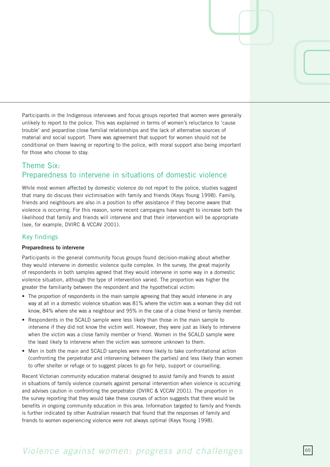Participants in the Indigenous interviews and focus groups reported that women were generally unlikely to report to the police. This was explained in terms of women's reluctance to 'cause trouble' and jeopardise close familial relationships and the lack of alternative sources of material and social support. There was agreement that support for women should not be conditional on them leaving or reporting to the police, with moral support also being important for those who choose to stay.

### Theme Six: Preparedness to intervene in situations of domestic violence

While most women affected by domestic violence do not report to the police, studies suggest that many do discuss their victimisation with family and friends (Keys Young 1998). Family, friends and neighbours are also in a position to offer assistance if they become aware that violence is occurring. For this reason, some recent campaigns have sought to increase both the likelihood that family and friends will intervene and that their intervention will be appropriate (see, for example, DVIRC & VCCAV 2001).

#### Key findings

#### **Preparedness to intervene**

Participants in the general community focus groups found decision-making about whether they would intervene in domestic violence quite complex. In the survey, the great majority of respondents in both samples agreed that they would intervene in some way in a domestic violence situation, although the type of intervention varied. The proportion was higher the greater the familiarity between the respondent and the hypothetical victim:

- The proportion of respondents in the main sample agreeing that they would intervene in any way at all in a domestic violence situation was 81% where the victim was a woman they did not know, 84% where she was a neighbour and 95% in the case of a close friend or family member.
- Respondents in the SCALD sample were less likely than those in the main sample to intervene if they did not know the victim well. However, they were just as likely to intervene when the victim was a close family member or friend. Women in the SCALD sample were the least likely to intervene when the victim was someone unknown to them.
- Men in both the main and SCALD samples were more likely to take confrontational action (confronting the perpetrator and intervening between the parties) and less likely than women to offer shelter or refuge or to suggest places to go for help, support or counselling.

Recent Victorian community education material designed to assist family and friends to assist in situations of family violence counsels against personal intervention when violence is occurring and advises caution in confronting the perpetrator (DVIRC & VCCAV 2001). The proportion in the survey reporting that they would take these courses of action suggests that there would be benefits in ongoing community education in this area. Information targeted to family and friends is further indicated by other Australian research that found that the responses of family and friends to women experiencing violence were not always optimal (Keys Young 1998).

## *Violence against women: progress and challenges*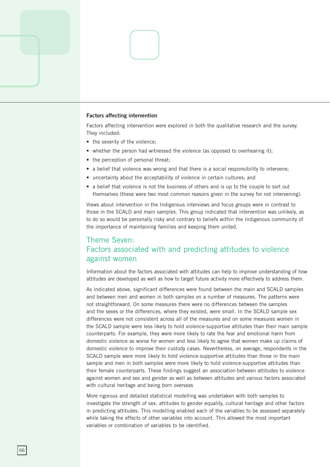#### **Factors affecting intervention**

Factors affecting intervention were explored in both the qualitative research and the survey. They included:

- the severity of the violence;
- whether the person had witnessed the violence (as opposed to overhearing it);
- the perception of personal threat;
- a belief that violence was wrong and that there is a social responsibility to intervene;
- uncertainty about the acceptability of violence in certain cultures; and
- a belief that violence is not the business of others and is up to the couple to sort out themselves (these were two most common reasons given in the survey for not intervening).

Views about intervention in the Indigenous interviews and focus groups were in contrast to those in the SCALD and main samples. This group indicated that intervention was unlikely, as to do so would be personally risky and contrary to beliefs within the Indigenous community of the importance of maintaining families and keeping them united.

### Theme Seven: Factors associated with and predicting attitudes to violence against women

Information about the factors associated with attitudes can help to improve understanding of how attitudes are developed as well as how to target future activity more effectively to address them.

As indicated above, significant differences were found between the main and SCALD samples and between men and women in both samples on a number of measures. The patterns were not straightforward. On some measures there were no differences between the samples and the sexes or the differences, where they existed, were small. In the SCALD sample sex differences were not consistent across all of the measures and on some measures women in the SCALD sample were less likely to hold violence-supportive attitudes than their main sample counterparts. For example, they were more likely to rate the fear and emotional harm from domestic violence as worse for women and less likely to agree that women make up claims of domestic violence to improve their custody cases. Nevertheless, on average, respondents in the SCALD sample were more likely to hold violence-supportive attitudes than those in the main sample and men in both samples were more likely to hold violence-supportive attitudes than their female counterparts. These findings suggest an *association* between attitudes to violence against women and sex and gender as well as between attitudes and various factors associated with cultural heritage and being born overseas

More rigorous and detailed statistical modelling was undertaken with both samples to investigate the strength of sex, attitudes to gender equality, cultural heritage and other factors in predicting attitudes. This modelling enabled each of the variables to be assessed separately while taking the effects of other variables into account. This allowed the most important variables or combination of variables to be identified.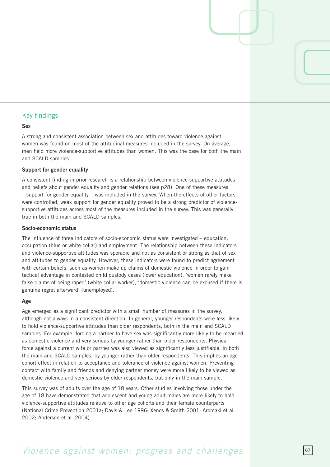#### Key findings

#### **Sex**

A strong and consistent association between sex and attitudes toward violence against women was found on most of the attitudinal measures included in the survey. On average, men held more violence-supportive attitudes than women. This was the case for both the main and SCALD samples.

#### **Support for gender equality**

A consistent finding in prior research is a relationship between violence-supportive attitudes and beliefs about gender equality and gender relations (see p28). One of these measures – support for gender equality – was included in the survey. When the effects of other factors were controlled, weak support for gender equality proved to be a strong predictor of violencesupportive attitudes across most of the measures included in the survey. This was generally true in both the main and SCALD samples.

#### **Socio-economic status**

The influence of three indicators of socio-economic status were investigated – education, occupation (blue or white collar) and employment. The relationship between these indicators and violence-supportive attitudes was sporadic and not as consistent or strong as that of sex and attitudes to gender equality. However, these indicators were found to predict agreement with certain beliefs, such as women make up claims of domestic violence in order to gain tactical advantage in contested child custody cases (lower education), 'women rarely make false claims of being raped' (white collar worker), 'domestic violence can be excused if there is genuine regret afterward' (unemployed).

#### **Age**

Age emerged as a significant predictor with a small number of measures in the survey, although not always in a consistent direction. In general, younger respondents were less likely to hold violence-supportive attitudes than older respondents, both in the main and SCALD samples. For example, forcing a partner to have sex was significantly more likely to be regarded as domestic violence and very serious by younger rather than older respondents. Physical force against a current wife or partner was also viewed as significantly less justifiable, in both the main and SCALD samples, by younger rather than older respondents. This implies an age cohort effect in relation to acceptance and tolerance of violence against women. Preventing contact with family and friends and denying partner money were more likely to be viewed as domestic violence and very serious by older respondents, but only in the main sample.

This survey was of adults over the age of 18 years. Other studies involving those under the age of 18 have demonstrated that adolescent and young adult males are more likely to hold violence-supportive attitudes relative to other age cohorts and their female counterparts (National Crime Prevention 001a; Davis & Lee 1996; Xenos & Smith 001; Aromaki et al. 2002; Anderson et al. 2004).

### *Violence against women: progress and challenges*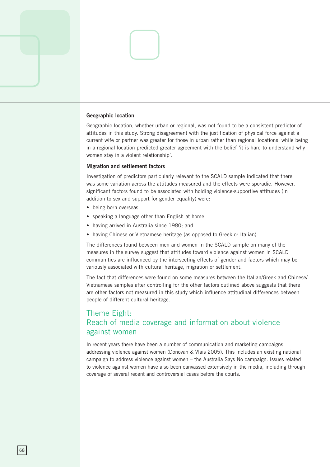#### **Geographic location**

Geographic location, whether urban or regional, was not found to be a consistent predictor of attitudes in this study. Strong disagreement with the justification of physical force against a current wife or partner was greater for those in urban rather than regional locations, while being in a regional location predicted greater agreement with the belief 'it is hard to understand why women stay in a violent relationship'.

#### **Migration and settlement factors**

Investigation of predictors particularly relevant to the SCALD sample indicated that there was some variation across the attitudes measured and the effects were sporadic. However, significant factors found to be associated with holding violence-supportive attitudes (in addition to sex and support for gender equality) were:

- being born overseas;
- speaking a language other than English at home;
- having arrived in Australia since 1980; and
- having Chinese or Vietnamese heritage (as opposed to Greek or Italian).

The differences found between men and women in the SCALD sample on many of the measures in the survey suggest that attitudes toward violence against women in SCALD communities are influenced by the intersecting effects of gender and factors which may be variously associated with cultural heritage, migration or settlement.

The fact that differences were found on some measures between the Italian/Greek and Chinese/ Vietnamese samples after controlling for the other factors outlined above suggests that there are other factors not measured in this study which influence attitudinal differences between people of different cultural heritage.

### Theme Eight: Reach of media coverage and information about violence against women

In recent years there have been a number of communication and marketing campaigns addressing violence against women (Donovan & Vlais 2005). This includes an existing national campaign to address violence against women – the Australia Says No campaign. Issues related to violence against women have also been canvassed extensively in the media, including through coverage of several recent and controversial cases before the courts.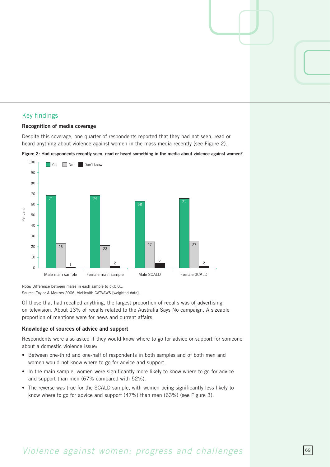#### Key findings

#### **Recognition of media coverage**

Despite this coverage, one-quarter of respondents reported that they had not seen, read or heard anything about violence against women in the mass media recently (see Figure 2).





Note: Difference between males in each sample to p<0.01. Source: Taylor & Mouzos 2006, VicHealth CATVAWS [weighted data].

Of those that had recalled anything, the largest proportion of recalls was of advertising on television. About 13% of recalls related to the Australia Says No campaign. A sizeable proportion of mentions were for news and current affairs.

#### **Knowledge of sources of advice and support**

Respondents were also asked if they would know where to go for advice or support for someone about a domestic violence issue:

- Between one-third and one-half of respondents in both samples and of both men and women would not know where to go for advice and support.
- In the main sample, women were significantly more likely to know where to go for advice and support than men (67% compared with 52%).
- The reverse was true for the SCALD sample, with women being significantly less likely to know where to go for advice and support  $(47%)$  than men  $(63%)$  (see Figure 3).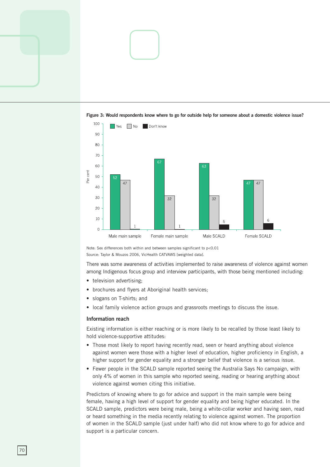



**Figure 3: Would respondents know where to go for outside help for someone about a domestic violence issue?** 

Note: Sex differences both within and between samples significant to p<0.01 Source: Taylor & Mouzos 2006, VicHealth CATVAWS [weighted data].

There was some awareness of activities implemented to raise awareness of violence against women among Indigenous focus group and interview participants, with those being mentioned including:

- television advertising:
- brochures and flyers at Aboriginal health services;
- slogans on T-shirts; and
- local family violence action groups and grassroots meetings to discuss the issue.

#### **Information reach**

Existing information is either reaching or is more likely to be recalled by those least likely to hold violence-supportive attitudes:

- Those most likely to report having recently read, seen or heard anything about violence against women were those with a higher level of education, higher proficiency in English, a higher support for gender equality and a stronger belief that violence is a serious issue.
- Fewer people in the SCALD sample reported seeing the Australia Says No campaign, with only 4% of women in this sample who reported seeing, reading or hearing anything about violence against women citing this initiative.

Predictors of knowing where to go for advice and support in the main sample were being female, having a high level of support for gender equality and being higher educated. In the SCALD sample, predictors were being male, being a white-collar worker and having seen, read or heard something in the media recently relating to violence against women. The proportion of women in the SCALD sample (just under half) who did not know where to go for advice and support is a particular concern.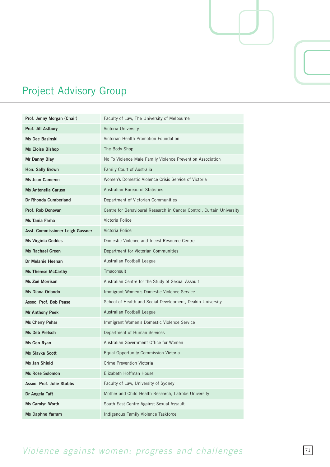

## Project Advisory Group

| Prof. Jenny Morgan (Chair)       | Faculty of Law, The University of Melbourne                           |
|----------------------------------|-----------------------------------------------------------------------|
| Prof. Jill Astbury               | Victoria University                                                   |
| <b>Ms Dee Basinski</b>           | Victorian Health Promotion Foundation                                 |
| <b>Ms Eloise Bishop</b>          | The Body Shop                                                         |
| Mr Danny Blay                    | No To Violence Male Family Violence Prevention Association            |
| Hon. Sally Brown                 | Family Court of Australia                                             |
| <b>Ms Jean Cameron</b>           | Women's Domestic Violence Crisis Service of Victoria                  |
| <b>Ms Antonella Caruso</b>       | Australian Bureau of Statistics                                       |
| Dr Rhonda Cumberland             | Department of Victorian Communities                                   |
| Prof. Rob Donovan                | Centre for Behavioural Research in Cancer Control, Curtain University |
| Ms Tania Farha                   | Victoria Police                                                       |
| Asst. Commissioner Leigh Gassner | Victoria Police                                                       |
| <b>Ms Virginia Geddes</b>        | Domestic Violence and Incest Resource Centre                          |
| <b>Ms Rachael Green</b>          | Department for Victorian Communities                                  |
| Dr Melanie Heenan                | Australian Football League                                            |
| <b>Ms Therese McCarthy</b>       | Tmaconsult                                                            |
| Ms Zoë Morrison                  | Australian Centre for the Study of Sexual Assault                     |
| <b>Ms Diana Orlando</b>          | Immigrant Women's Domestic Violence Service                           |
| Assoc. Prof. Bob Pease           | School of Health and Social Development, Deakin University            |
| <b>Mr Anthony Peek</b>           | Australian Football League                                            |
| Ms Cherry Pehar                  | Immigrant Women's Domestic Violence Service                           |
| Ms Deb Pietsch                   | Department of Human Services                                          |
| Ms Gen Ryan                      | Australian Government Office for Women                                |
| <b>Ms Slavka Scott</b>           | Equal Opportunity Commission Victoria                                 |
| Ms Jan Shield                    | Crime Prevention Victoria                                             |
| <b>Ms Rose Solomon</b>           | Elizabeth Hoffman House                                               |
| Assoc. Prof. Julie Stubbs        | Faculty of Law, University of Sydney                                  |
| Dr Angela Taft                   | Mother and Child Health Research, Latrobe University                  |
|                                  |                                                                       |
| Ms Carolyn Worth                 | South East Centre Against Sexual Assault                              |

## *Violence against women: progress and challenges*  $\boxed{71}$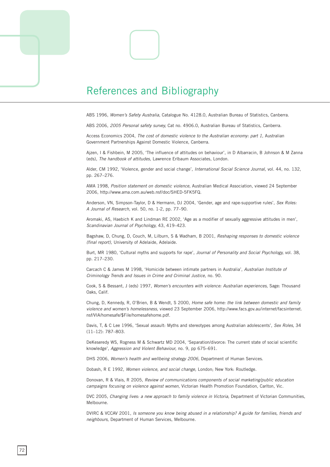

ABS 1996, *Women's Safety Australia,* Catalogue No. 418.0, Australian Bureau of Statistics, Canberra.

ABS 006, *2005 Personal safety survey,* Cat no. 4906.0, Australian Bureau of Statistics, Canberra.

Access Economics 2004, *The cost of domestic violence to the Australian economy: part 1*, Australian Government Partnerships Against Domestic Violence, Canberra.

Ajzen, I & Fishbein, M 005, 'The influence of attitudes on behaviour', in D Albarracin, B Johnson & M Zanna (eds), *The handbook of attitudes,* Lawrence Erlbaum Associates, London.

Alder, CM 1992, 'Violence, gender and social change', *International Social Science Journal*, vol. 44, no. 132, pp. 267–276.

AMA 1998, *Position statement on domestic violence,* Australian Medical Association, viewed 4 September 006, http://www.ama.com.au/web.nsf/doc/SHED-5FK5FQ.

Anderson, VN, Simpson-Taylor, D & Hermann, DJ 2004, 'Gender, age and rape-supportive rules', Sex Roles: *A Journal of Research, vol.* 50, no. 1-2, pp. 77-90.

Aromaki, AS, Haebich K and Lindman RE 2002, 'Age as a modifier of sexually aggressive attitudes in men', *Scandinavian Journal of Psychology, 43, 419-423.* 

Bagshaw, D, Chung, D, Couch, M, Lilburn, S & Wadham, B 001, *Reshaping responses to domestic violence (final report),* University of Adelaide, Adelaide.

Burt, MR 1980, 'Cultural myths and supports for rape', *Journal of Personality and Social Psychology,* vol. 8, pp. 217–230.

Carcach C & James M 1998, 'Homicide between intimate partners in Australia', *Australian Institute of Criminology Trends and Issues in Crime and Criminal Justice,* no. 90.

Cook, S & Bessant, J (eds) 1997, *Women's encounters with violence: Australian experiences,* Sage: Thousand Oaks, Calif.

Chung, D, Kennedy, R, O'Brien, B & Wendt, S 000, *Home safe home: the link between domestic and family violence and women's homelessness, viewed 23 September 2006, http://www.facs.gov.au/internet/facsinternet.* nsf/VIA/homesafe/\$File/homesafehome.pdf.

Davis, T, & C Lee 1996, 'Sexual assault: Myths and stereotypes among Australian adolescents', *Sex Roles,* 4  $(11-12): 787-803.$ 

DeKeseredy WS, Rogness M & Schwartz MD 2004, 'Separation/divorce: The current state of social scientific knowledge', *Aggression and Violent Behaviour,* no. 9, pp 675–691.

DHS 2006, Women's health and wellbeing strategy 2006, Department of Human Services.

Dobash, R E 1992, *Women violence, and social change,* London; New York: Routledge.

Donovan, R & Vlais, R 005, *Review of communications components of social marketing/public education campaigns focusing on violence against women,* Victorian Health Promotion Foundation, Carlton, Vic.

DVC 2005, *Changing lives: a new approach to family violence in Victoria, Department of Victorian Communities,* Melbourne.

DVIRC & VCCAV 001, *Is someone you know being abused in a relationship? A guide for families, friends and neighbours,* Department of Human Services, Melbourne.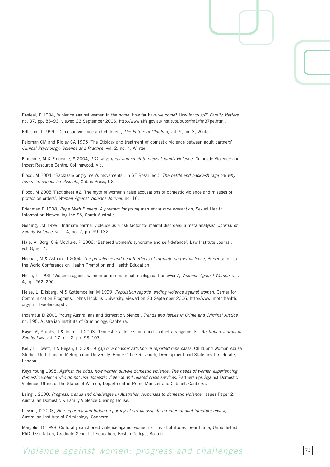Easteal, P 1994, 'Violence against women in the home: how far have we come? How far to go?' *Family Matters,*  no. 37, pp. 86–93, viewed 23 September 2006, http://www.aifs.gov.au/institute/pubs/fm1/fm37pe.html.

Edleson, J 1999, 'Domestic violence and children', *The Future of Children*, vol. 9, no. 3, Winter.

Feldman CM and Ridley CA 1995 'The Etiology and treatment of domestic violence between adult partners' *Clinical Psychology: Science and Practice, vol. 2, no. 4, Winter.* 

Finucane, M & Finucane, S 2004, 101 ways great and small to prevent family violence, Domestic Violence and Incest Resource Centre, Collingwood, Vic.

Flood, M 2004, 'Backlash: angry men's movements', in SE Rossi (ed.), *The battle and backlash rage on: why feminism cannot be obsolete,* Xlibris Press, US.

Flood, M 2005 'Fact sheet #2: The myth of women's false accusations of domestic violence and misuses of protection orders', *Women Against Violence Journal,* no. 16.

Friedman B 1998, Rape Myth Busters: A program for young men about rape prevention, Sexual Health Information Networking Inc SA, South Australia.

Golding, JM 1999, 'Intimate partner violence as a risk factor for mental disorders: a meta-analysis', *Journal of Family Violence, vol.* 14, no. 2, pp. 99-132.

Hale, A, Borg, C & McClure, P 2006, 'Battered women's syndrome and self-defence', Law Institute Journal, vol. 8, no. 4.

Heenan, M & Astbury, J 004, *The prevalence and health effects of intimate partner violence,* Presentation to the World Conference on Health Promotion and Health Education.

Heise, L 1998, 'Violence against women: an international, ecological framework', *Violence Against Women,* vol. 4, pp. 262–290.

Heise, L, Ellsberg, M & Gottemoeller, M 1999, *Population reports: ending violence against women,* Center for Communication Programs, Johns Hopkins University, viewed on 23 September 2006, http://www.infoforhealth. org/pr/l11/violence.pdf.

Indemaur D 2001 'Young Australians and domestic violence', *Trends and Issues in Crime and Criminal Justice* no. 195, Australian Institute of Criminology, Canberra.

Kaye, M, Stubbs, J & Tolmie, J 2003, 'Domestic violence and child contact arrangements', *Australian Journal of Family Law, vol.* 17, no. 2, pp. 93-103.

Kelly L, Lovett, J & Regan, L 2005, A gap or a chasm? Attrition in reported rape cases, Child and Woman Abuse Studies Unit, London Metropolitan University, Home Office Research, Development and Statistics Directorate, London.

Keys Young 1998, *Against the odds: how women survive domestic violence. The needs of women experiencing*  domestic violence who do not use domestic violence and related crisis services, Partnerships Against Domestic Violence, Office of the Status of Women, Department of Prime Minister and Cabinet, Canberra.

Laing L 2000, *Progress, trends and challenges in Australian responses to domestic violence, Issues Paper 2,* Australian Domestic & Family Violence Clearing House.

Lievore, D 2003, *Non-reporting and hidden reporting of sexual assault: an international literature review*, Australian Institute of Criminology, Canberra.

Margolis, D 1998, Culturally sanctioned violence against women: a look at attitudes toward rape, Unpublished PhD dissertation, Graduate School of Education, Boston College, Boston.

## *Violence against women: progress and challenges*  $73$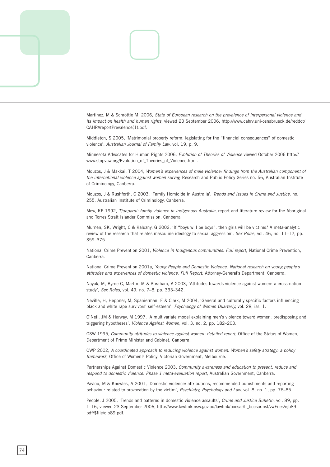

Martinez, M & Schröttle M. 006, *State of European research on the prevalence of interpersonal violence and its impact on health and human rights, viewed 23 September 2006, http://www.cahrv.uni-osnabrueck.de/reddot/* CAHRVreportPrevalence(1).pdf.

Middleton, S 2005, 'Matrimonial property reform: legislating for the "financial consequences" of domestic violence', *Australian Journal of Family Law,* vol. 19, p. 9.

Minnesota Advocates for Human Rights 006, *Evolution of Theories of Violence* viewed October 006 http:// www.stopvaw.org/Evolution\_of\_Theories\_of\_Violence.html.

Mouzos, J & Makkai, T 004, *Women's experiences of male violence: findings from the Australian component of the international violence against women survey,* Research and Public Policy Series no. 56, Australian Institute of Criminology, Canberra.

Mouzos, J & Rushforth, C 2003, 'Family Homicide in Australia', *Trends and Issues in Crime and Justice*, no. 55, Australian Institute of Criminology, Canberra.

Mow, KE 1992, *Tjunparni: family violence in Indigenous Australia*, report and literature review for the Aboriginal and Torres Strait Islander Commission, Canberra.

Murnen, SK, Wright, C & Kaluzny, G 2002, 'If "boys will be boys", then girls will be victims? A meta-analytic review of the research that relates masculine ideology to sexual aggression', *Sex Roles*, vol. 46, no. 11-12, pp. 59–75.

National Crime Prevention 001, *Violence in Indigenous communities. Full report,* National Crime Prevention, Canberra.

National Crime Prevention 001a, *Young People and Domestic Violence. National research on young people's attitudes and experiences of domestic violence. Full Report,* Attorney-General's Department, Canberra.

Nayak, M, Byrne C, Martin, M & Abraham, A 2003, 'Attitudes towards violence against women: a cross-nation study', *Sex Roles*, vol. 49, no. 7-8, pp. 333-342.

Neville, H, Heppner, M, Spanierman, E & Clark, M 2004, 'General and culturally specific factors influencing black and white rape survivors' self-esteem', *Psychology of Women Quarterly*, vol. 28, iss. 1.

O'Neil, JM & Harway, M 1997, 'A multivariate model explaining men's violence toward women: predisposing and triggering hypotheses', *Violence Against Women*, vol. 3, no. 2, pp. 182–203.

OSW 1995, *Community attitudes to violence against women: detailed report*, Office of the Status of Women, Department of Prime Minister and Cabinet, Canberra.

OWP 00, *A coordinated approach to reducing violence against women. Women's safety strategy: a policy framework,* Office of Women's Policy, Victorian Government, Melbourne.

Partnerships Against Domestic Violence 2003, *Community awareness and education to prevent, reduce and respond to domestic violence. Phase 1 meta-evaluation report,* Australian Government, Canberra.

Pavlou, M & Knowles, A 2001, 'Domestic violence: attributions, recommended punishments and reporting behaviour related to provocation by the victim', *Psychiatry, Psychology and Law,* vol. 8, no. 1, pp. 76–85.

People, J 005, 'Trends and patterns in domestic violence assaults', *Crime and Justice Bulletin,* vol. 89, pp. 1-16, viewed 23 September 2006, http://www.lawlink.nsw.gov.au/lawlink/bocsar/II\_bocsar.nsf/vwFiles/cjb89. pdf/\$file/cjb89.pdf.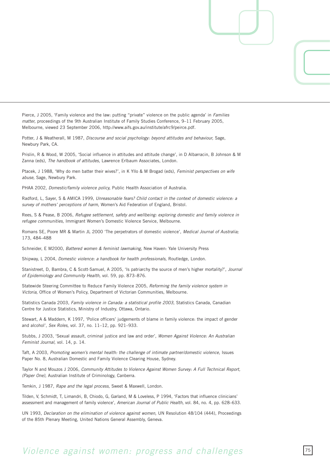Pierce, J 2005, 'Family violence and the law: putting "private" violence on the public agenda' in *Families matter, proceedings of the 9th Australian Institute of Family Studies Conference, 9-11 February 2005,* Melbourne, viewed 23 September 2006, http://www.aifs.gov.au/institute/afrc9/peirce.pdf.

Potter, J & Weatherall, M 1987, *Discourse and social psychology: beyond attitudes and behaviour*, Sage, Newbury Park, CA.

Prislin, R & Wood, W 2005, 'Social influence in attitudes and attitude change', in D Albarracin, B Johnson & M Zanna (eds), *The handbook of attitudes,* Lawrence Erlbaum Associates, London.

Ptacek, J 1988, 'Why do men batter their wives?', in K Yllo & M Brogad (eds), *Feminist perspectives on wife abuse,* Sage, Newbury Park.

PHAA 2002, *Domestic/family violence policy*, Public Health Association of Australia.

Radford, L, Sayer, S & AMICA 1999, *Unreasonable fears? Child contact in the context of domestic violence: a survey of mothers' perceptions of harm,* Women's Aid Federation of England, Bristol.

Rees, S & Pease, B 2006, *Refugee settlement, safety and wellbeing: exploring domestic and family violence in refugee communities,* Immigrant Women's Domestic Violence Service, Melbourne.

Romans SE, Poore MR & Martin JL 000 'The perpetrators of domestic violence', *Medical Journal of Australia;*  173, 484-488

Schneider, E M2000, *Battered women & feminist lawmaking*, New Haven: Yale University Press

Shipway, L 2004, *Domestic violence: a handbook for health professionals*, Routledge, London.

Stanistreet, D, Bambra, C & Scott-Samuel, A 005, 'Is patriarchy the source of men's higher mortality?', *Journal*  of Epidemiology and Community Health, vol. 59, pp. 873-876.

Statewide Steering Committee to Reduce Family Violence 2005, *Reforming the family violence system in Victoria,* Office of Women's Policy, Department of Victorian Communities, Melbourne.

Statistics Canada 2003, Family violence in Canada: a statistical profile 2003, Statistics Canada, Canadian Centre for Justice Statistics, Ministry of Industry, Ottawa, Ontario.

Stewart, A & Maddern, K 1997, 'Police officers' judgements of blame in family violence: the impact of gender and alcohol', *Sex Roles*, vol. 37, no. 11-12, pp. 921-933.

Stubbs, J 2003, 'Sexual assault, criminal justice and law and order', *Women Against Violence: An Australian Feminist Journal,* vol. 14, p. 14.

Taft, A 2003, Promoting women's mental health: the challenge of intimate partner/domestic violence, Issues Paper No. 8, Australian Domestic and Family Violence Clearing House, Sydney.

Taylor N and Mouzos J 2006, *Community Attitudes to Violence Against Women Survey: A Full Technical Report, (Paper One),* Australian Institute of Criminology, Canberra.

Temkin, J 1987, *Rape and the legal process,* Sweet & Maxwell, London.

Tilden, V, Schmidt, T, Limandri, B, Chiodo, G, Garland, M & Loveless, P 1994, 'Factors that influence clinicians' assessment and management of family violence', *American Journal of Public Health*, vol. 84, no. 4, pp. 628–633.

UN 1993, *Declaration on the elimination of violence against women*, UN Resolution 48/104 (444), Proceedings of the 85th Plenary Meeting, United Nations General Assembly, Geneva.

## *Violence against women: progress and challenges*  $75$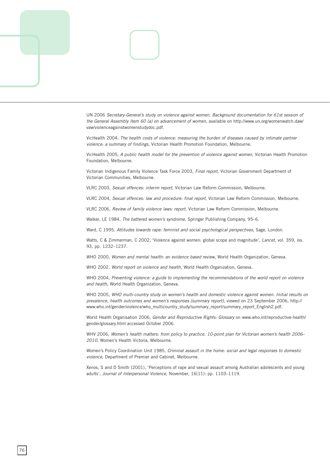

UN 006 *Secretary-General's study on violence against women. Background documentation for 61st session of the General Assembly Item 60 (a) on advancement of women,* available on http://www.un.org/womenwatch.daw/ vaw/violenceagainstwomenstudydoc.pdf.

VicHealth 004, *The health costs of violence: measuring the burden of diseases caused by intimate partner violence: a summary of findings,* Victorian Health Promotion Foundation, Melbourne.

VicHealth 005, *A public health model for the prevention of violence against women,* Victorian Health Promotion Foundation, Melbourne.

Victorian Indigenous Family Violence Task Force 2003, *Final report*, Victorian Government Department of Victorian Communities, Melbourne.

VLRC 2003, Sexual offences: interim report, Victorian Law Reform Commission, Melbourne.

VLRC 004, *Sexual offences: law and procedure: final report,* Victorian Law Reform Commission, Melbourne.

VLRC 006, *Review of family violence laws: report,* Victorian Law Reform Commission, Melbourne.

Walker, LE 1984, *The battered women's syndrome,* Springer Publishing Company, 95–6.

Ward, C 1995, Attitudes towards rape: feminist and social psychological perspectives, Sage, London.

Watts, C & Zimmerman, C 2002, 'Violence against women: global scope and magnitude', *Lancet*, vol. 359, iss. 93, pp. 1232-1237.

WHO 2000, Women and mental health: an evidence based review, World Health Organization, Geneva.

WHO 2002, World report on violence and health, World Health Organization, Geneva.

WHO 2004, Preventing violence: a guide to implementing the recommendations of the world report on violence *and health,* World Health Organization, Geneva.

WHO 2005, WHO multi-country study on women's health and domestic violence against women. Initial results on *prevalence, health outcomes and women's responses (summary report), viewed on 23 September 2006, http://* www.who.int/gender/violence/who\_multicountry\_study/summary\_report/summary\_report\_English2.pdf.

World Health Organisation 2006, *Gender and Reproductive Rights: Glossary* on www.who.int/reproductive-health/ gender/glossary.html accessed October 2006.

WHV 006, *Women's health matters: from policy to practice. 10-point plan for Victorian women's health 2006– 2010,* Women's Health Victoria, Melbourne.

Women's Policy Coordination Unit 1985, *Criminal assault in the home: social and legal responses to domestic violence,* Department of Premier and Cabinet, Melbourne.

Xenos, S and D Smith (2001), 'Perceptions of rape and sexual assault among Australian adolescents and young adults', *Journal of Interpersonal Violence*, November, 16(11): pp. 1103-1119.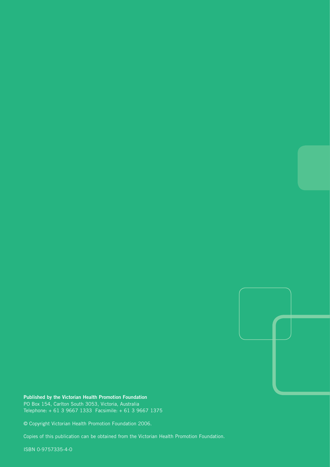

**Published by the Victorian Health Promotion Foundation** PO Box 154, Carlton South 3053, Victoria, Australia Telephone: + 61 3 9667 1333 Facsimile: + 61 3 9667 1375

© Copyright Victorian Health Promotion Foundation 2006.

Copies of this publication can be obtained from the Victorian Health Promotion Foundation.

ISBN 0-9757335-4-0